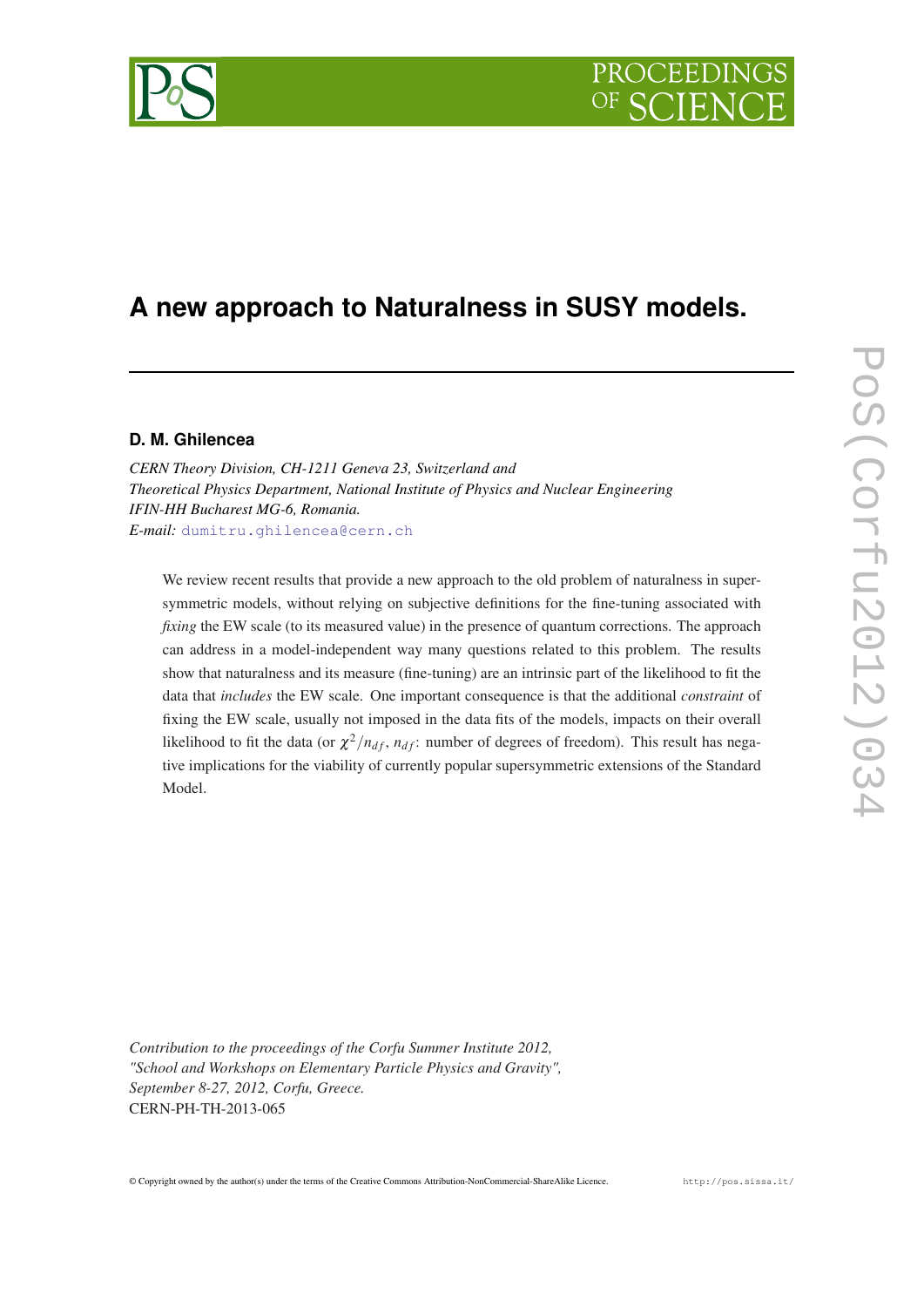# PROCEEDIN



## **A new approach to Naturalness in SUSY models.**

#### **D. M. Ghilencea**

*CERN Theory Division, CH-1211 Geneva 23, Switzerland and Theoretical Physics Department, National Institute of Physics and Nuclear Engineering IFIN-HH Bucharest MG-6, Romania. E-mail:* [dumitru.ghilencea@cern.ch](mailto:dumitru.ghilencea@cern.ch)

We review recent results that provide a new approach to the old problem of naturalness in supersymmetric models, without relying on subjective definitions for the fine-tuning associated with *fixing* the EW scale (to its measured value) in the presence of quantum corrections. The approach can address in a model-independent way many questions related to this problem. The results show that naturalness and its measure (fine-tuning) are an intrinsic part of the likelihood to fit the data that *includes* the EW scale. One important consequence is that the additional *constraint* of fixing the EW scale, usually not imposed in the data fits of the models, impacts on their overall likelihood to fit the data (or  $\chi^2/n_{df}$ ,  $n_{df}$ : number of degrees of freedom). This result has negative implications for the viability of currently popular supersymmetric extensions of the Standard Model.

PoS(Corfu2012)034 PoS(Corfu2012)034

*Contribution to the proceedings of the Corfu Summer Institute 2012, "School and Workshops on Elementary Particle Physics and Gravity", September 8-27, 2012, Corfu, Greece.* CERN-PH-TH-2013-065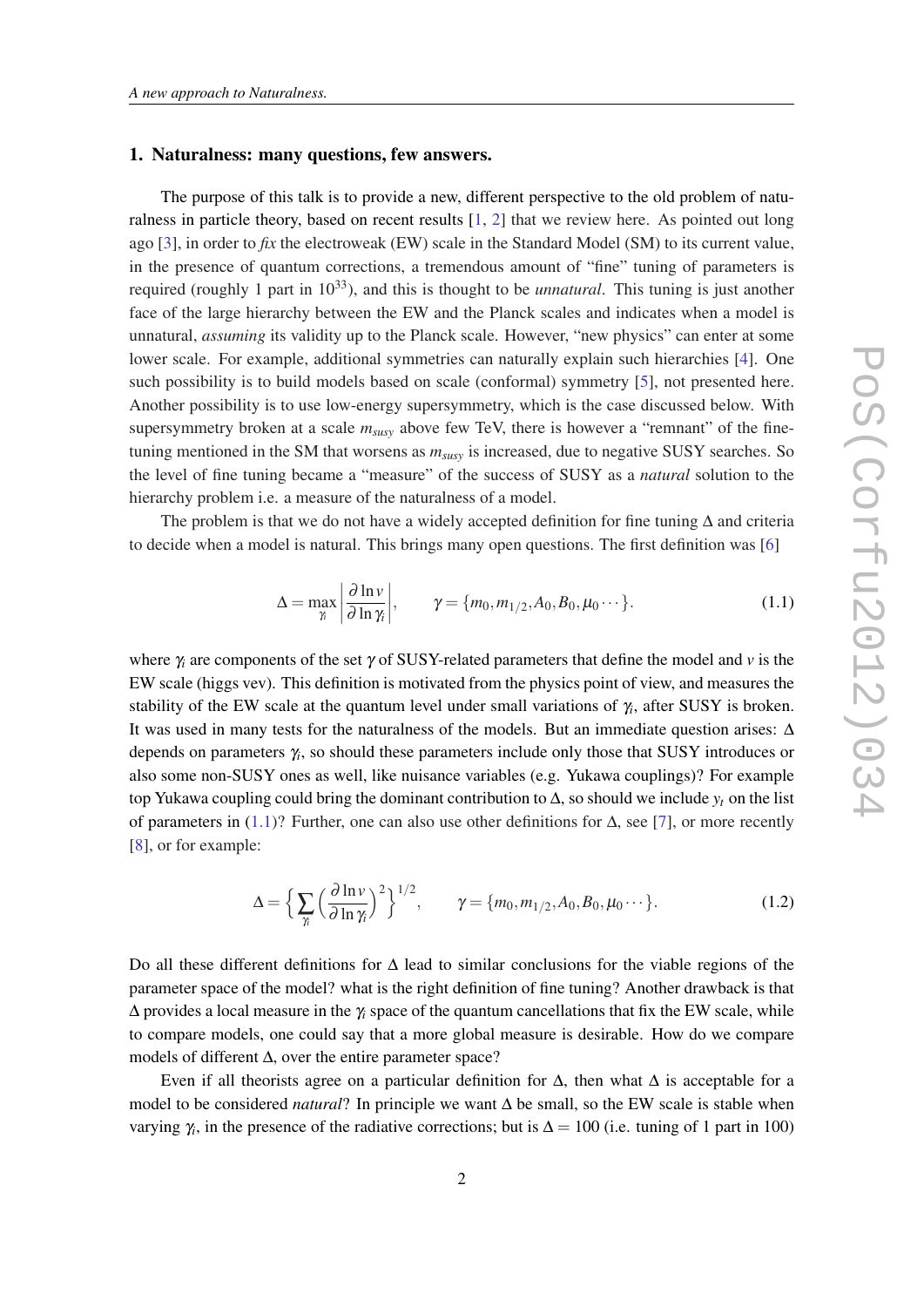#### <span id="page-1-0"></span>1. Naturalness: many questions, few answers.

The purpose of this talk is to provide a new, different perspective to the old problem of naturalness in particle theory, based on recent results [[1](#page-11-0), [2](#page-11-0)] that we review here. As pointed out long ago [\[3\]](#page-12-0), in order to *fix* the electroweak (EW) scale in the Standard Model (SM) to its current value, in the presence of quantum corrections, a tremendous amount of "fine" tuning of parameters is required (roughly 1 part in 10<sup>33</sup>), and this is thought to be *unnatural*. This tuning is just another face of the large hierarchy between the EW and the Planck scales and indicates when a model is unnatural, *assuming* its validity up to the Planck scale. However, "new physics" can enter at some lower scale. For example, additional symmetries can naturally explain such hierarchies [[4](#page-12-0)]. One such possibility is to build models based on scale (conformal) symmetry [[5\]](#page-12-0), not presented here. Another possibility is to use low-energy supersymmetry, which is the case discussed below. With supersymmetry broken at a scale *msusy* above few TeV, there is however a "remnant" of the finetuning mentioned in the SM that worsens as *msusy* is increased, due to negative SUSY searches. So the level of fine tuning became a "measure" of the success of SUSY as a *natural* solution to the hierarchy problem i.e. a measure of the naturalness of a model.

The problem is that we do not have a widely accepted definition for fine tuning  $\Delta$  and criteria to decide when a model is natural. This brings many open questions. The first definition was [\[6\]](#page-12-0)

$$
\Delta = \max_{\gamma_i} \left| \frac{\partial \ln \nu}{\partial \ln \gamma_i} \right|, \qquad \gamma = \{m_0, m_{1/2}, A_0, B_0, \mu_0 \cdots \}.
$$
 (1.1)

where  $\gamma_i$  are components of the set  $\gamma$  of SUSY-related parameters that define the model and  $\nu$  is the EW scale (higgs vev). This definition is motivated from the physics point of view, and measures the stability of the EW scale at the quantum level under small variations of γ*<sup>i</sup>* , after SUSY is broken. It was used in many tests for the naturalness of the models. But an immediate question arises: ∆ depends on parameters γ*<sup>i</sup>* , so should these parameters include only those that SUSY introduces or also some non-SUSY ones as well, like nuisance variables (e.g. Yukawa couplings)? For example top Yukawa coupling could bring the dominant contribution to  $\Delta$ , so should we include  $y_t$  on the list of parameters in (1.1)? Further, one can also use other definitions for ∆, see [\[7\]](#page-12-0), or more recently [[8](#page-12-0)], or for example:

$$
\Delta = \left\{ \sum_{\gamma_i} \left( \frac{\partial \ln \nu}{\partial \ln \gamma_i} \right)^2 \right\}^{1/2}, \qquad \gamma = \{m_0, m_{1/2}, A_0, B_0, \mu_0 \cdots \}.
$$
 (1.2)

Do all these different definitions for ∆ lead to similar conclusions for the viable regions of the parameter space of the model? what is the right definition of fine tuning? Another drawback is that ∆ provides a local measure in the γ*<sup>i</sup>* space of the quantum cancellations that fix the EW scale, while to compare models, one could say that a more global measure is desirable. How do we compare models of different ∆, over the entire parameter space?

Even if all theorists agree on a particular definition for  $\Delta$ , then what  $\Delta$  is acceptable for a model to be considered *natural*? In principle we want ∆ be small, so the EW scale is stable when varying  $\gamma_i$ , in the presence of the radiative corrections; but is  $\Delta = 100$  (i.e. tuning of 1 part in 100)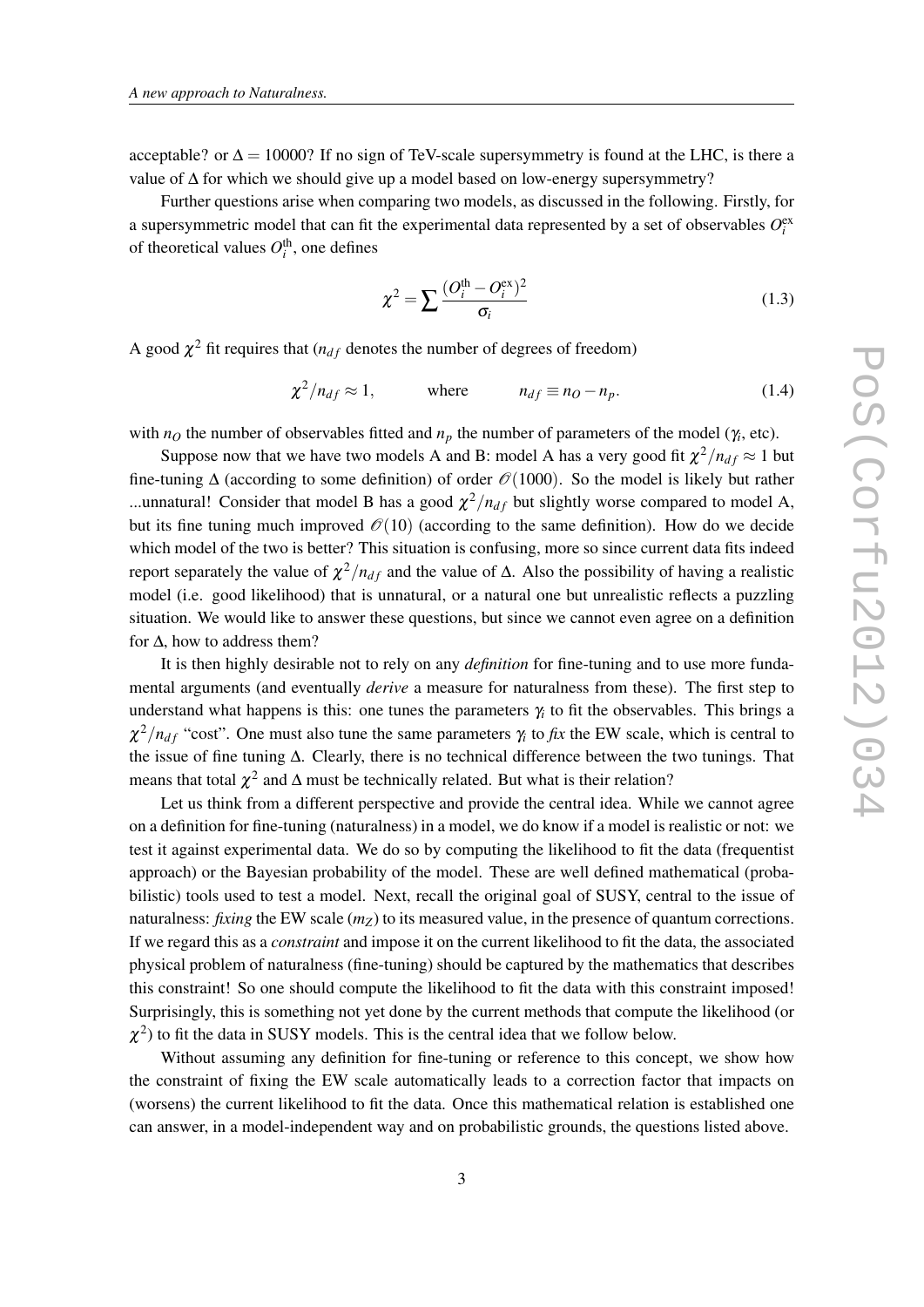<span id="page-2-0"></span>acceptable? or  $\Delta = 10000$ ? If no sign of TeV-scale supersymmetry is found at the LHC, is there a value of  $\Delta$  for which we should give up a model based on low-energy supersymmetry?

Further questions arise when comparing two models, as discussed in the following. Firstly, for a supersymmetric model that can fit the experimental data represented by a set of observables  $O_i^{\text{ex}}$ of theoretical values  $O_i^{\text{th}}$ , one defines

$$
\chi^2 = \sum \frac{(O_i^{\text{th}} - O_i^{\text{ex}})^2}{\sigma_i} \tag{1.3}
$$

A good  $\chi^2$  fit requires that ( $n_{df}$  denotes the number of degrees of freedom)

$$
\chi^2 / n_{df} \approx 1, \qquad \text{where} \qquad n_{df} \equiv n_Q - n_p. \tag{1.4}
$$

with  $n<sub>O</sub>$  the number of observables fitted and  $n<sub>p</sub>$  the number of parameters of the model ( $\gamma$ <sub>*i*</sub>, etc).

Suppose now that we have two models A and B: model A has a very good fit  $\chi^2/n_{df} \approx 1$  but fine-tuning  $\Delta$  (according to some definition) of order  $\mathcal{O}(1000)$ . So the model is likely but rather ...unnatural! Consider that model B has a good  $\chi^2/n_{df}$  but slightly worse compared to model A, but its fine tuning much improved  $\mathcal{O}(10)$  (according to the same definition). How do we decide which model of the two is better? This situation is confusing, more so since current data fits indeed report separately the value of  $\chi^2/n_{df}$  and the value of  $\Delta$ . Also the possibility of having a realistic model (i.e. good likelihood) that is unnatural, or a natural one but unrealistic reflects a puzzling situation. We would like to answer these questions, but since we cannot even agree on a definition for  $\Delta$ , how to address them?

It is then highly desirable not to rely on any *definition* for fine-tuning and to use more fundamental arguments (and eventually *derive* a measure for naturalness from these). The first step to understand what happens is this: one tunes the parameters γ*<sup>i</sup>* to fit the observables. This brings a  $\chi^2/n_{df}$  "cost". One must also tune the same parameters  $\gamma_i$  to *fix* the EW scale, which is central to the issue of fine tuning ∆. Clearly, there is no technical difference between the two tunings. That means that total  $\chi^2$  and  $\Delta$  must be technically related. But what is their relation?

Let us think from a different perspective and provide the central idea. While we cannot agree on a definition for fine-tuning (naturalness) in a model, we do know if a model is realistic or not: we test it against experimental data. We do so by computing the likelihood to fit the data (frequentist approach) or the Bayesian probability of the model. These are well defined mathematical (probabilistic) tools used to test a model. Next, recall the original goal of SUSY, central to the issue of naturalness: *fixing* the EW scale  $(m_Z)$  to its measured value, in the presence of quantum corrections. If we regard this as a *constraint* and impose it on the current likelihood to fit the data, the associated physical problem of naturalness (fine-tuning) should be captured by the mathematics that describes this constraint! So one should compute the likelihood to fit the data with this constraint imposed! Surprisingly, this is something not yet done by the current methods that compute the likelihood (or  $\chi^2$ ) to fit the data in SUSY models. This is the central idea that we follow below.

Without assuming any definition for fine-tuning or reference to this concept, we show how the constraint of fixing the EW scale automatically leads to a correction factor that impacts on (worsens) the current likelihood to fit the data. Once this mathematical relation is established one can answer, in a model-independent way and on probabilistic grounds, the questions listed above.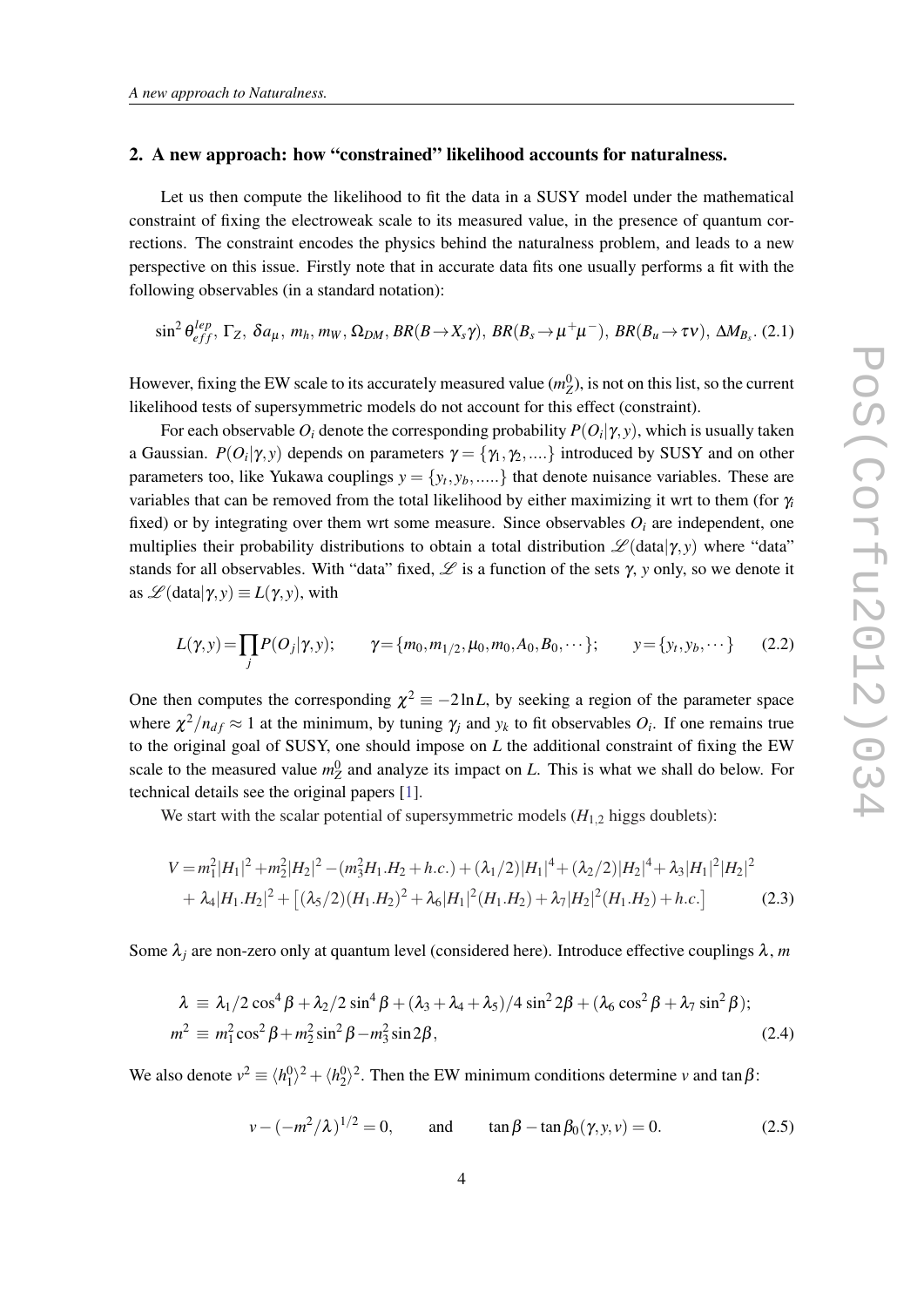#### <span id="page-3-0"></span>2. A new approach: how "constrained" likelihood accounts for naturalness.

Let us then compute the likelihood to fit the data in a SUSY model under the mathematical constraint of fixing the electroweak scale to its measured value, in the presence of quantum corrections. The constraint encodes the physics behind the naturalness problem, and leads to a new perspective on this issue. Firstly note that in accurate data fits one usually performs a fit with the following observables (in a standard notation):

$$
\sin^2 \theta_{eff}^{lep}, \Gamma_Z, \, \delta a_\mu, \, m_h, \, m_W, \, \Omega_{DM}, \, BR(B \to X_s \gamma), \, BR(B_s \to \mu^+ \mu^-), \, BR(B_u \to \tau \nu), \, \Delta M_{B_s}. \, (2.1)
$$

However, fixing the EW scale to its accurately measured value  $(m_Z^0)$ , is not on this list, so the current likelihood tests of supersymmetric models do not account for this effect (constraint).

For each observable  $O_i$  denote the corresponding probability  $P(O_i|\gamma,\mathrm{y}),$  which is usually taken a Gaussian.  $P(O_i|\gamma, y)$  depends on parameters  $\gamma = \{\gamma_1, \gamma_2, ....\}$  introduced by SUSY and on other parameters too, like Yukawa couplings  $y = \{y_t, y_b, \dots\}$  that denote nuisance variables. These are variables that can be removed from the total likelihood by either maximizing it wrt to them (for γ*<sup>i</sup>* fixed) or by integrating over them wrt some measure. Since observables  $O_i$  are independent, one multiplies their probability distributions to obtain a total distribution  $\mathscr{L}(\text{data}|\gamma, y)$  where "data" stands for all observables. With "data" fixed,  $\mathscr L$  is a function of the sets  $\gamma$ , *y* only, so we denote it as  $\mathscr{L}(\text{data}|\gamma, y) \equiv L(\gamma, y)$ , with

$$
L(\gamma, y) = \prod_j P(O_j | \gamma, y); \qquad \gamma = \{m_0, m_{1/2}, \mu_0, m_0, A_0, B_0, \cdots\}; \qquad y = \{y_t, y_b, \cdots\}
$$
 (2.2)

One then computes the corresponding  $\chi^2 = -2 \ln L$ , by seeking a region of the parameter space where  $\chi^2/n_{df} \approx 1$  at the minimum, by tuning  $\gamma_j$  and  $y_k$  to fit observables  $O_i$ . If one remains true to the original goal of SUSY, one should impose on *L* the additional constraint of fixing the EW scale to the measured value  $m_Z^0$  and analyze its impact on *L*. This is what we shall do below. For technical details see the original papers [[1](#page-11-0)].

We start with the scalar potential of supersymmetric models  $(H_{1,2}$  higgs doublets):

$$
V = m_1^2 |H_1|^2 + m_2^2 |H_2|^2 - (m_3^2 H_1 H_2 + h.c.) + (\lambda_1/2)|H_1|^4 + (\lambda_2/2)|H_2|^4 + \lambda_3 |H_1|^2 |H_2|^2
$$
  
+  $\lambda_4 |H_1 H_2|^2 + [(\lambda_5/2)(H_1 H_2)^2 + \lambda_6 |H_1|^2 (H_1 H_2) + \lambda_7 |H_2|^2 (H_1 H_2) + h.c.]$  (2.3)

Some  $\lambda_j$  are non-zero only at quantum level (considered here). Introduce effective couplings  $\lambda$ , *m* 

$$
\begin{aligned} \lambda &\equiv \lambda_1/2\cos^4\beta + \lambda_2/2\sin^4\beta + (\lambda_3 + \lambda_4 + \lambda_5)/4\sin^2 2\beta + (\lambda_6\cos^2\beta + \lambda_7\sin^2\beta);\\ m^2 &\equiv m_1^2\cos^2\beta + m_2^2\sin^2\beta - m_3^2\sin 2\beta, \end{aligned} \tag{2.4}
$$

We also denote  $v^2 \equiv \langle h_1^0 \rangle^2 + \langle h_2^0 \rangle^2$ . Then the EW minimum conditions determine *v* and tan  $\beta$ :

$$
v - (-m^2/\lambda)^{1/2} = 0
$$
, and  $\tan \beta - \tan \beta_0(\gamma, y, v) = 0$ . (2.5)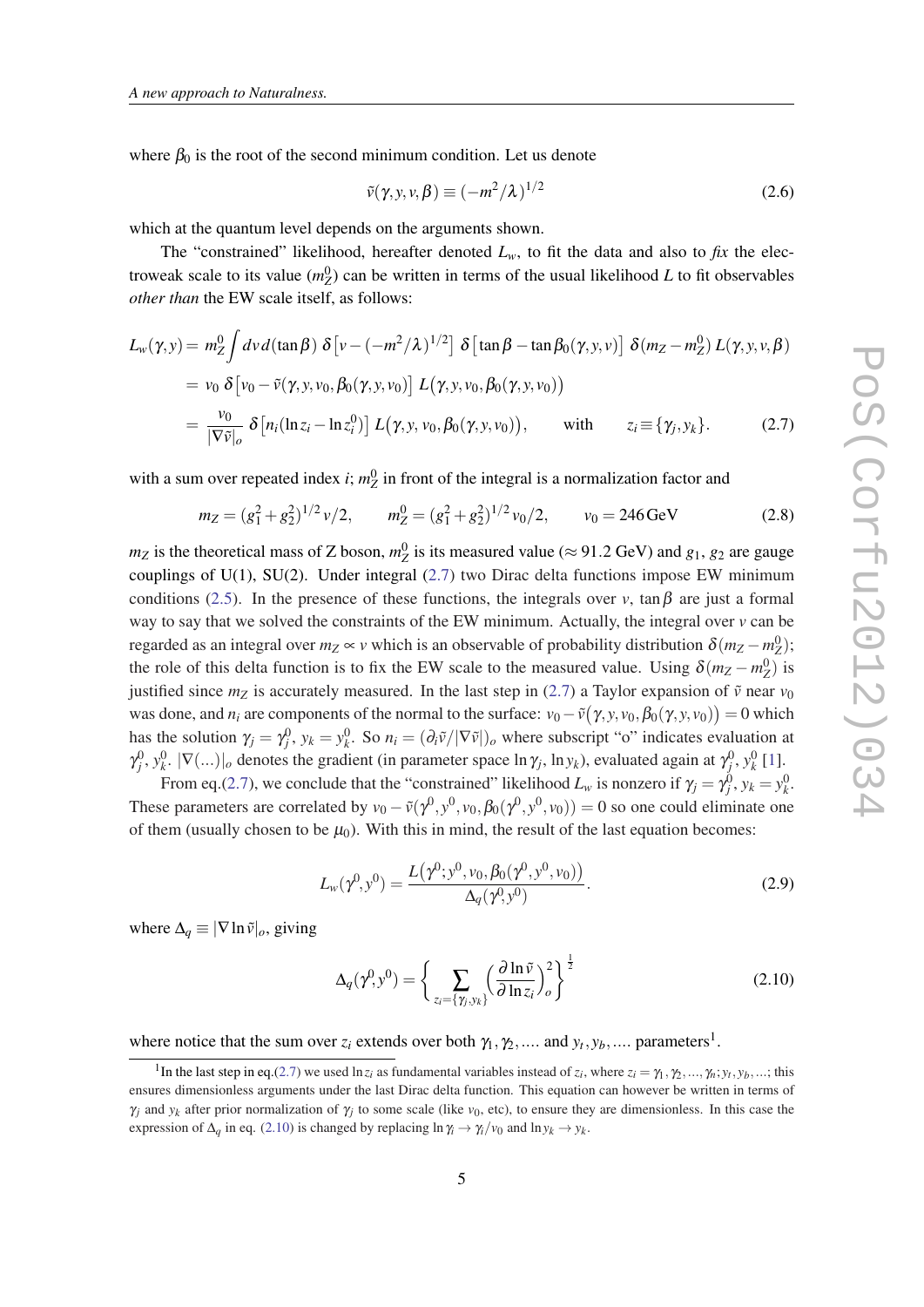<span id="page-4-0"></span>where  $\beta_0$  is the root of the second minimum condition. Let us denote

$$
\tilde{v}(\gamma, y, v, \beta) \equiv (-m^2/\lambda)^{1/2} \tag{2.6}
$$

which at the quantum level depends on the arguments shown.

The "constrained" likelihood, hereafter denoted  $L<sub>w</sub>$ , to fit the data and also to *fix* the electroweak scale to its value  $(m_Z^0)$  can be written in terms of the usual likelihood *L* to fit observables *other than* the EW scale itself, as follows:

$$
L_w(\gamma, y) = m_Z^0 \int dv \, d(\tan \beta) \, \delta \left[ v - \left( -m^2/\lambda \right)^{1/2} \right] \, \delta \left[ \tan \beta - \tan \beta_0(\gamma, y, v) \right] \, \delta(m_Z - m_Z^0) \, L(\gamma, y, v, \beta)
$$
\n
$$
= v_0 \, \delta \left[ v_0 - \tilde{v}(\gamma, y, v_0, \beta_0(\gamma, y, v_0)) \right] \, L(\gamma, y, v_0, \beta_0(\gamma, y, v_0))
$$
\n
$$
= \frac{v_0}{|\nabla \tilde{v}|_o} \, \delta \left[ n_i (\ln z_i - \ln z_i^0) \right] \, L(\gamma, y, v_0, \beta_0(\gamma, y, v_0)), \qquad \text{with} \qquad z_i \equiv \{ \gamma_i, y_k \}. \tag{2.7}
$$

with a sum over repeated index *i*;  $m_Z^0$  in front of the integral is a normalization factor and

$$
m_Z = (g_1^2 + g_2^2)^{1/2} v/2, \qquad m_Z^0 = (g_1^2 + g_2^2)^{1/2} v_0/2, \qquad v_0 = 246 \,\text{GeV}
$$
 (2.8)

 $m_Z$  is the theoretical mass of Z boson,  $m_Z^0$  is its measured value ( $\approx$  91.2 GeV) and  $g_1$ ,  $g_2$  are gauge couplings of U(1), SU(2). Under integral (2.7) two Dirac delta functions impose EW minimum conditions [\(2.5\)](#page-3-0). In the presence of these functions, the integrals over *v*, tan  $\beta$  are just a formal way to say that we solved the constraints of the EW minimum. Actually, the integral over *v* can be regarded as an integral over  $m_Z \propto v$  which is an observable of probability distribution  $\delta(m_Z - m_Z^0)$ ; the role of this delta function is to fix the EW scale to the measured value. Using  $\delta(m_Z - m_Z^0)$  is justified since  $m_Z$  is accurately measured. In the last step in (2.7) a Taylor expansion of  $\tilde{v}$  near  $v_0$ was done, and  $n_i$  are components of the normal to the surface:  $v_0 - \tilde{v}(\gamma, y, v_0, \beta_0(\gamma, y, v_0)) = 0$  which has the solution  $\gamma_j = \gamma_j^0$ ,  $y_k = y_k^0$ . So  $n_i = (\partial_i \tilde{v}/|\nabla \tilde{v}|)_o$  where subscript "o" indicates evaluation at  $\gamma_j^0, \gamma_k^0, |\nabla(\ldots)|_o$  denotes the gradient (in parameter space  $\ln \gamma_j$ ,  $\ln y_k$ ), evaluated again at  $\gamma_j^0, \gamma_k^0$  [[1](#page-11-0)].

From eq.(2.7), we conclude that the "constrained" likelihood  $L_w$  is nonzero if  $\gamma_j = \gamma_j^0$ ,  $y_k = y_k^0$ . These parameters are correlated by  $v_0 - \tilde{v}(\gamma^0, y^0, v_0, \beta_0(\gamma^0, y^0, v_0)) = 0$  so one could eliminate one of them (usually chosen to be  $\mu_0$ ). With this in mind, the result of the last equation becomes:

$$
L_w(\gamma^0, y^0) = \frac{L(\gamma^0; y^0, v_0, \beta_0(\gamma^0, y^0, v_0))}{\Delta_q(\gamma^0, y^0)}.
$$
\n(2.9)

where  $\Delta_q \equiv |\nabla \ln \tilde{v}|_o$ , giving

$$
\Delta_q(\gamma^0, y^0) = \left\{ \sum_{z_i = \{\gamma_j, y_k\}} \left(\frac{\partial \ln \tilde{v}}{\partial \ln z_i}\right)_o^2 \right\}^{\frac{1}{2}}
$$
(2.10)

where notice that the sum over  $z_i$  extends over both  $\gamma_1, \gamma_2, \dots$  and  $y_t, y_b, \dots$  parameters<sup>1</sup>.

<sup>&</sup>lt;sup>1</sup>In the last step in eq.(2.7) we used  $\ln z_i$  as fundamental variables instead of  $z_i$ , where  $z_i = \gamma_1, \gamma_2, ..., \gamma_n; y_t, y_b, ...$ ; this ensures dimensionless arguments under the last Dirac delta function. This equation can however be written in terms of  $\gamma_j$  and  $y_k$  after prior normalization of  $\gamma_j$  to some scale (like  $v_0$ , etc), to ensure they are dimensionless. In this case the expression of  $\Delta_q$  in eq. (2.10) is changed by replacing  $\ln \gamma_i \to \gamma_i/\nu_0$  and  $\ln y_k \to y_k$ .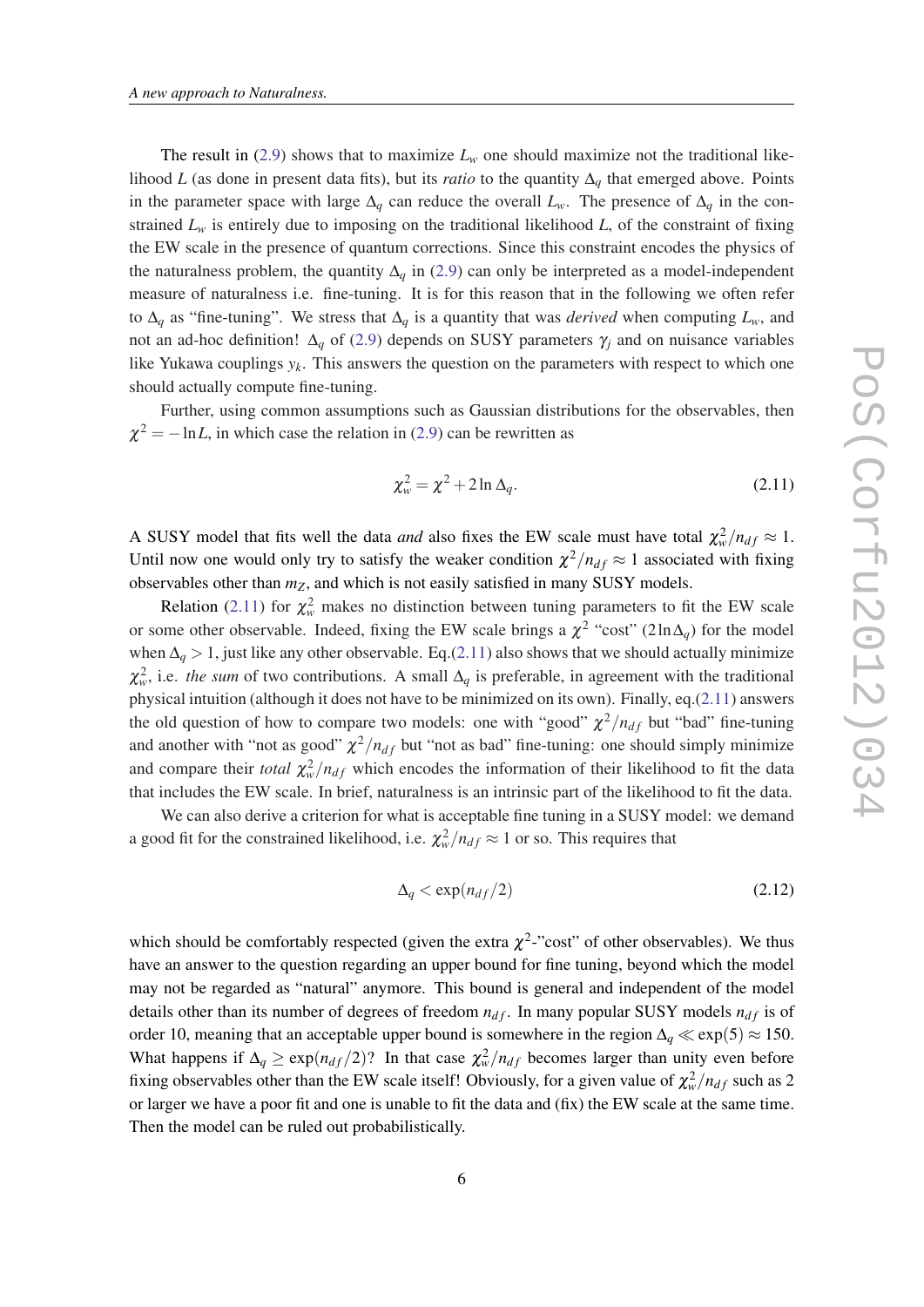<span id="page-5-0"></span>The result in [\(2.9\)](#page-4-0) shows that to maximize  $L_w$  one should maximize not the traditional likelihood *L* (as done in present data fits), but its *ratio* to the quantity ∆*<sup>q</sup>* that emerged above. Points in the parameter space with large  $\Delta_q$  can reduce the overall  $L_w$ . The presence of  $\Delta_q$  in the constrained  $L<sub>w</sub>$  is entirely due to imposing on the traditional likelihood *L*, of the constraint of fixing the EW scale in the presence of quantum corrections. Since this constraint encodes the physics of the naturalness problem, the quantity  $\Delta_q$  in ([2.9\)](#page-4-0) can only be interpreted as a model-independent measure of naturalness i.e. fine-tuning. It is for this reason that in the following we often refer to ∆*<sup>q</sup>* as "fine-tuning". We stress that ∆*<sup>q</sup>* is a quantity that was *derived* when computing *Lw*, and not an ad-hoc definition!  $\Delta_q$  of [\(2.9\)](#page-4-0) depends on SUSY parameters  $\gamma_i$  and on nuisance variables like Yukawa couplings  $y_k$ . This answers the question on the parameters with respect to which one should actually compute fine-tuning.

Further, using common assumptions such as Gaussian distributions for the observables, then  $\chi^2 = -\ln L$ , in which case the relation in [\(2.9\)](#page-4-0) can be rewritten as

$$
\chi^2_w = \chi^2 + 2\ln \Delta_q. \tag{2.11}
$$

A SUSY model that fits well the data *and* also fixes the EW scale must have total  $\chi^2_w/n_{df} \approx 1$ . Until now one would only try to satisfy the weaker condition  $\chi^2/n_{df} \approx 1$  associated with fixing observables other than *mZ*, and which is not easily satisfied in many SUSY models.

Relation (2.11) for  $\chi^2_w$  makes no distinction between tuning parameters to fit the EW scale or some other observable. Indeed, fixing the EW scale brings a  $\chi^2$  "cost" (2ln $\Delta_q$ ) for the model when  $\Delta_q > 1$ , just like any other observable. Eq.(2.11) also shows that we should actually minimize  $\chi^2_w$ , i.e. *the sum* of two contributions. A small  $\Delta_q$  is preferable, in agreement with the traditional physical intuition (although it does not have to be minimized on its own). Finally, eq.(2.11) answers the old question of how to compare two models: one with "good"  $\chi^2/n_{df}$  but "bad" fine-tuning and another with "not as good"  $\chi^2/n_{df}$  but "not as bad" fine-tuning: one should simply minimize and compare their *total*  $\chi^2_w/n_{df}$  which encodes the information of their likelihood to fit the data that includes the EW scale. In brief, naturalness is an intrinsic part of the likelihood to fit the data.

We can also derive a criterion for what is acceptable fine tuning in a SUSY model: we demand a good fit for the constrained likelihood, i.e.  $\chi^2_w/n_{df} \approx 1$  or so. This requires that

$$
\Delta_q < \exp(n_{df}/2) \tag{2.12}
$$

which should be comfortably respected (given the extra  $\chi^2$ -"cost" of other observables). We thus have an answer to the question regarding an upper bound for fine tuning, beyond which the model may not be regarded as "natural" anymore. This bound is general and independent of the model details other than its number of degrees of freedom  $n_{df}$ . In many popular SUSY models  $n_{df}$  is of order 10, meaning that an acceptable upper bound is somewhere in the region  $\Delta_q \ll \exp(5) \approx 150$ . What happens if  $\Delta_q \geq \exp(n_{df}/2)$ ? In that case  $\chi^2_w/n_{df}$  becomes larger than unity even before fixing observables other than the EW scale itself! Obviously, for a given value of  $\chi^2_w/n_{df}$  such as 2 or larger we have a poor fit and one is unable to fit the data and (fix) the EW scale at the same time. Then the model can be ruled out probabilistically.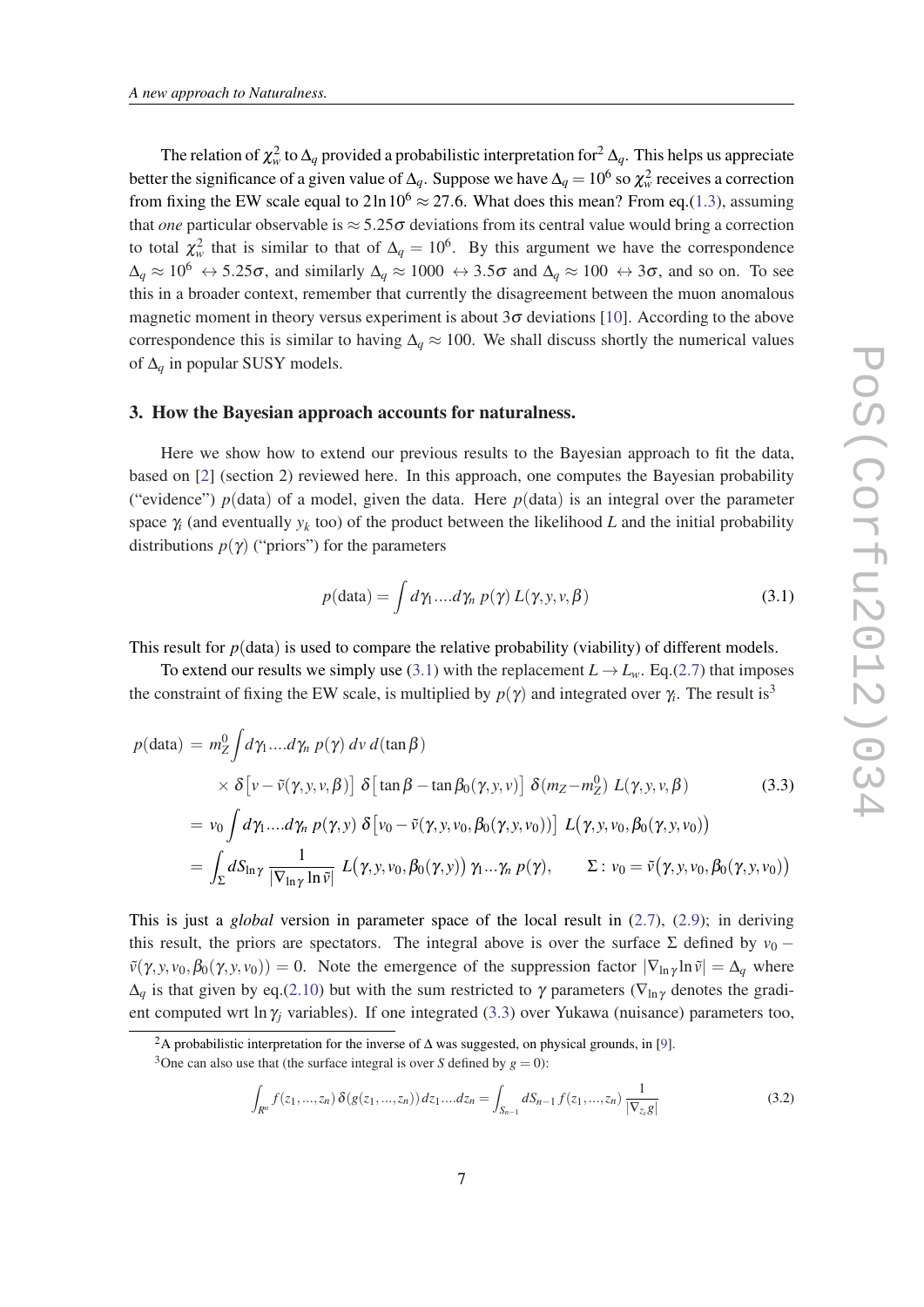<span id="page-6-0"></span>The relation of  $\chi^2_w$  to  $\Delta_q$  provided a probabilistic interpretation for  $^2\Delta_q$ . This helps us appreciate better the significance of a given value of  $\Delta_q$ . Suppose we have  $\Delta_q = 10^6$  so  $\chi^2_w$  receives a correction from fixing the EW scale equal to  $2 \ln 10^6 \approx 27.6$ . What does this mean? From eq.([1.3\)](#page-2-0), assuming that *one* particular observable is  $\approx$  5.25 $\sigma$  deviations from its central value would bring a correction to total  $\chi^2_w$  that is similar to that of  $\Delta_q = 10^6$ . By this argument we have the correspondence  $\Delta_q \approx 10^6 \leftrightarrow 5.25\sigma$ , and similarly  $\Delta_q \approx 1000 \leftrightarrow 3.5\sigma$  and  $\Delta_q \approx 100 \leftrightarrow 3\sigma$ , and so on. To see this in a broader context, remember that currently the disagreement between the muon anomalous magnetic moment in theory versus experiment is about  $3\sigma$  deviations [\[10](#page-12-0)]. According to the above correspondence this is similar to having  $\Delta_q \approx 100$ . We shall discuss shortly the numerical values of ∆*<sup>q</sup>* in popular SUSY models.

#### 3. How the Bayesian approach accounts for naturalness.

Here we show how to extend our previous results to the Bayesian approach to fit the data, based on [\[2\]](#page-11-0) (section 2) reviewed here. In this approach, one computes the Bayesian probability ("evidence")  $p$ (data) of a model, given the data. Here  $p$ (data) is an integral over the parameter space  $\gamma_i$  (and eventually  $y_k$  too) of the product between the likelihood *L* and the initial probability distributions  $p(\gamma)$  ("priors") for the parameters

$$
p(\text{data}) = \int d\gamma_1 \dots d\gamma_n \, p(\gamma) \, L(\gamma, y, v, \beta) \tag{3.1}
$$

This result for  $p$ (data) is used to compare the relative probability (viability) of different models.

To extend our results we simply use (3.1) with the replacement  $L \rightarrow L_w$ . Eq.[\(2.7\)](#page-4-0) that imposes the constraint of fixing the EW scale, is multiplied by  $p(\gamma)$  and integrated over  $\gamma_i$ . The result is<sup>3</sup>

$$
p(\text{data}) = m_Z^0 \int d\gamma_1 \dots d\gamma_n \ p(\gamma) \ dv \ d(\tan \beta)
$$
  
\n
$$
\times \delta \left[ v - \tilde{v}(\gamma, y, v, \beta) \right] \delta \left[ \tan \beta - \tan \beta_0(\gamma, y, v) \right] \delta(m_Z - m_Z^0) \ L(\gamma, y, v, \beta)
$$
  
\n
$$
= v_0 \int d\gamma_1 \dots d\gamma_n \ p(\gamma, y) \ \delta \left[ v_0 - \tilde{v}(\gamma, y, v_0, \beta_0(\gamma, y, v_0)) \right] \ L(\gamma, y, v_0, \beta_0(\gamma, y, v_0))
$$
  
\n
$$
= \int_{\Sigma} dS_{\ln \gamma} \frac{1}{|\nabla_{\ln \gamma} \ln \tilde{v}|} \ L(\gamma, y, v_0, \beta_0(\gamma, y)) \ \gamma_1 \dots \gamma_n \ p(\gamma), \qquad \Sigma : v_0 = \tilde{v}(\gamma, y, v_0, \beta_0(\gamma, y, v_0))
$$

This is just a *global* version in parameter space of the local result in ([2.7](#page-4-0)), [\(2.9\)](#page-4-0); in deriving this result, the priors are spectators. The integral above is over the surface  $\Sigma$  defined by *v*<sub>0</sub> −  $\tilde{v}(\gamma, y, v_0, \beta_0(\gamma, y, v_0)) = 0$ . Note the emergence of the suppression factor  $|\nabla_{\ln \gamma} \ln \tilde{v}| = \Delta_q$  where  $\Delta_q$  is that given by eq.[\(2.10](#page-4-0)) but with the sum restricted to  $\gamma$  parameters ( $\nabla_{\ln \gamma}$  denotes the gradient computed wrt ln  $\gamma_i$  variables). If one integrated (3.3) over Yukawa (nuisance) parameters too,

$$
\int_{R^n} f(z_1, ..., z_n) \, \delta(g(z_1, ..., z_n)) \, dz_1 \dots dz_n = \int_{S_{n-1}} dS_{n-1} \, f(z_1, ..., z_n) \, \frac{1}{|\nabla_{z_i} g|} \tag{3.2}
$$

<sup>&</sup>lt;sup>2</sup>A probabilistic interpretation for the inverse of  $\Delta$  was suggested, on physical grounds, in [[9](#page-12-0)].

<sup>&</sup>lt;sup>3</sup>One can also use that (the surface integral is over *S* defined by  $g = 0$ ):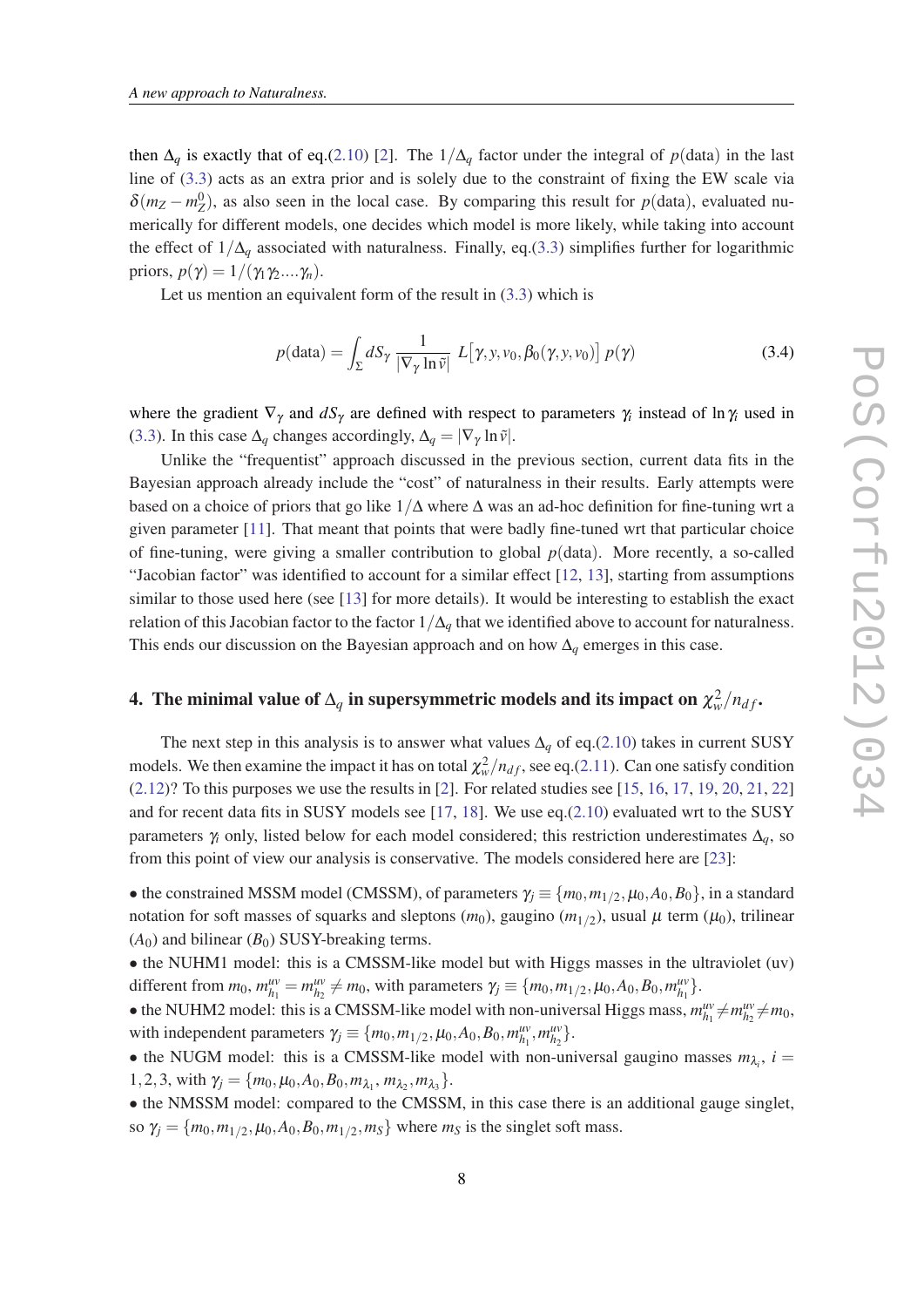then  $\Delta_q$  is exactly that of eq.([2.10](#page-4-0)) [[2](#page-11-0)]. The  $1/\Delta_q$  factor under the integral of  $p(\text{data})$  in the last line of ([3.3](#page-6-0)) acts as an extra prior and is solely due to the constraint of fixing the EW scale via  $\delta(m_Z - m_Z^0)$ , as also seen in the local case. By comparing this result for *p*(data), evaluated numerically for different models, one decides which model is more likely, while taking into account the effect of 1/∆*<sup>q</sup>* associated with naturalness. Finally, eq.[\(3.3](#page-6-0)) simplifies further for logarithmic priors,  $p(\gamma) = 1/(\gamma_1 \gamma_2 \ldots \gamma_n)$ .

Let us mention an equivalent form of the result in [\(3.3\)](#page-6-0) which is

$$
p(\text{data}) = \int_{\Sigma} dS_{\gamma} \frac{1}{|\nabla_{\gamma} \ln \tilde{\nu}|} L[\gamma, y, v_0, \beta_0(\gamma, y, v_0)] p(\gamma)
$$
 (3.4)

where the gradient  $\nabla_{\gamma}$  and  $dS_{\gamma}$  are defined with respect to parameters  $\gamma_i$  instead of ln $\gamma_i$  used in ([3.3\)](#page-6-0). In this case  $\Delta_q$  changes accordingly,  $\Delta_q = |\nabla_\gamma \ln \tilde{v}|$ .

Unlike the "frequentist" approach discussed in the previous section, current data fits in the Bayesian approach already include the "cost" of naturalness in their results. Early attempts were based on a choice of priors that go like  $1/\Delta$  where  $\Delta$  was an ad-hoc definition for fine-tuning wrt a given parameter [\[11](#page-12-0)]. That meant that points that were badly fine-tuned wrt that particular choice of fine-tuning, were giving a smaller contribution to global  $p$ (data). More recently, a so-called "Jacobian factor" was identified to account for a similar effect [[12,](#page-12-0) [13](#page-12-0)], starting from assumptions similar to those used here (see [\[13](#page-12-0)] for more details). It would be interesting to establish the exact relation of this Jacobian factor to the factor  $1/\Delta_q$  that we identified above to account for naturalness. This ends our discussion on the Bayesian approach and on how  $\Delta_q$  emerges in this case.

### 4. The minimal value of  $\Delta_q$  in supersymmetric models and its impact on  $\chi^2_w/n_{df}$ .

The next step in this analysis is to answer what values ∆*<sup>q</sup>* of eq.([2.10\)](#page-4-0) takes in current SUSY models. We then examine the impact it has on total  $\chi^2_w/n_{df}$ , see eq.([2.11\)](#page-5-0). Can one satisfy condition  $(2.12)$  $(2.12)$  $(2.12)$ ? To this purposes we use the results in [[2](#page-11-0)]. For related studies see [\[15](#page-13-0), [16](#page-13-0), [17](#page-13-0), [19](#page-13-0), [20](#page-13-0), [21](#page-13-0), [22](#page-14-0)] and for recent data fits in SUSY models see [[17,](#page-13-0) [18](#page-13-0)]. We use eq.([2.10\)](#page-4-0) evaluated wrt to the SUSY parameters  $\gamma_i$  only, listed below for each model considered; this restriction underestimates  $\Delta_q$ , so from this point of view our analysis is conservative. The models considered here are [\[23](#page-14-0)]:

• the constrained MSSM model (CMSSM), of parameters  $\gamma_j \equiv \{m_0, m_{1/2}, \mu_0, A_0, B_0\}$ , in a standard notation for soft masses of squarks and sleptons  $(m_0)$ , gaugino  $(m_{1/2})$ , usual  $\mu$  term  $(\mu_0)$ , trilinear  $(A<sub>0</sub>)$  and bilinear  $(B<sub>0</sub>)$  SUSY-breaking terms.

• the NUHM1 model: this is a CMSSM-like model but with Higgs masses in the ultraviolet (uv) different from  $m_0$ ,  $m_{h_1}^{uv} = m_{h_2}^{uv} \neq m_0$ , with parameters  $\gamma_j \equiv \{m_0, m_{1/2}, \mu_0, A_0, B_0, m_{h_1}^{uv}\}.$ 

• the NUHM2 model: this is a CMSSM-like model with non-universal Higgs mass,  $m_{h_1}^{uv} \neq m_{h_2}^{uv} \neq m_0$ , with independent parameters  $\gamma_j \equiv \{m_0, m_{1/2}, \mu_0, A_0, B_0, m_{h_1}^{uv}, m_{h_2}^{uv}\}.$ 

• the NUGM model: this is a CMSSM-like model with non-universal gaugino masses  $m_{\lambda_i}$ ,  $i =$ 1,2,3, with  $\gamma_j = \{m_0, \mu_0, A_0, B_0, m_{\lambda_1}, m_{\lambda_2}, m_{\lambda_3}\}.$ 

• the NMSSM model: compared to the CMSSM, in this case there is an additional gauge singlet, so  $\gamma_j = \{m_0, m_{1/2}, \mu_0, A_0, B_0, m_{1/2}, m_S\}$  where  $m_S$  is the singlet soft mass.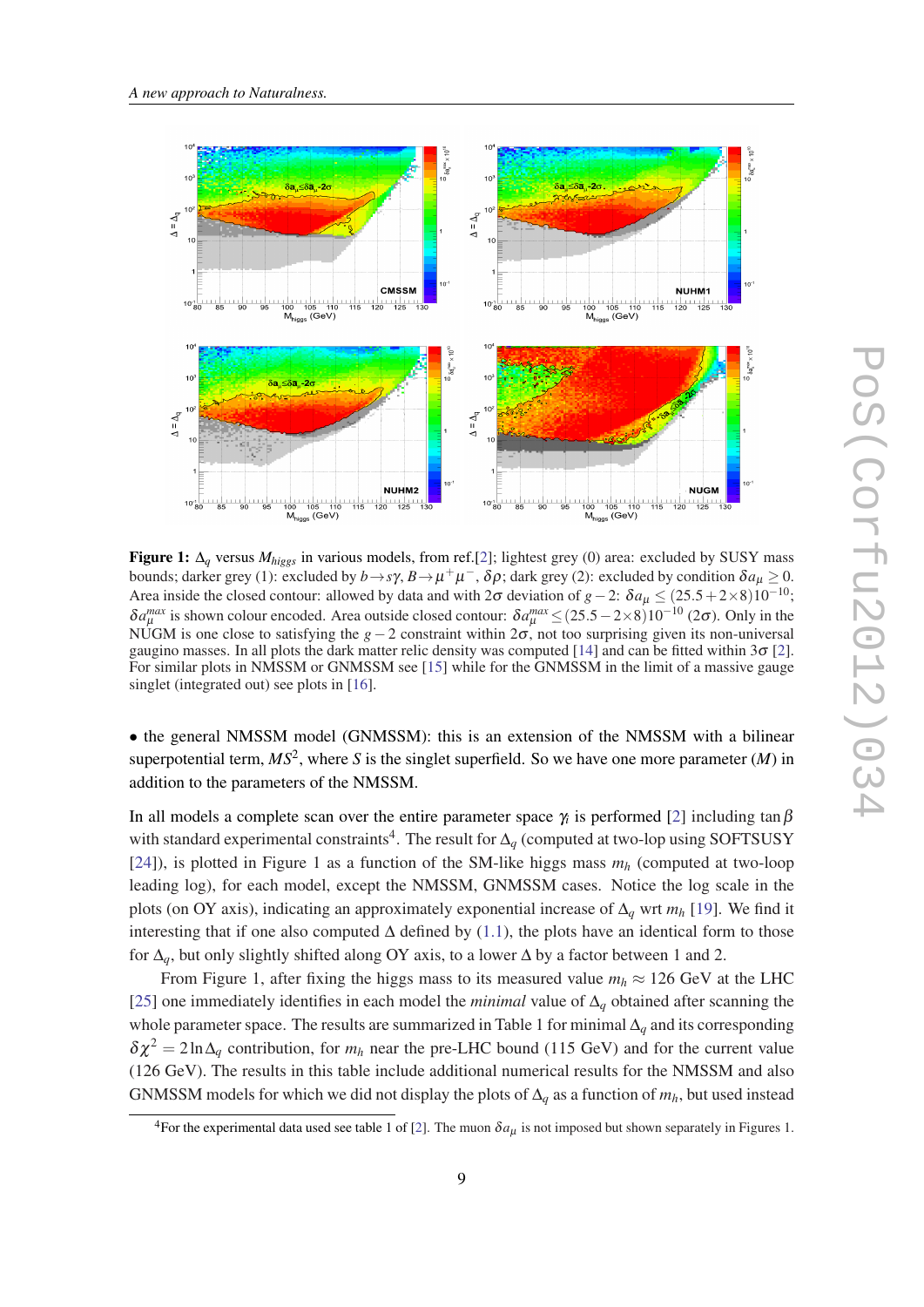

Figure 1: ∆*<sup>q</sup>* versus *Mhiggs* in various models, from ref.[\[2](#page-11-0)]; lightest grey (0) area: excluded by SUSY mass bounds; darker grey (1): excluded by  $b \to s\gamma$ ,  $B \to \mu^+\mu^-$ ,  $\delta\rho$ ; dark grey (2): excluded by condition  $\delta a_\mu \ge 0$ . Area inside the closed contour: allowed by data and with  $2\sigma$  deviation of *g*−2:  $\delta a_\mu \leq (25.5 + 2 \times 8)10^{-10}$ ;  $δa<sub>μ</sub><sup>max</sup>$  is shown colour encoded. Area outside closed contour:  $δa<sub>μ</sub><sup>max</sup> ≤ (25.5 – 2×8)10<sup>-10</sup> (2σ)$ . Only in the NUGM is one close to satisfying the *g*−2 constraint within 2σ, not too surprising given its non-universal gaugino masses. In all plots the dark matter relic density was computed [\[14](#page-13-0)] and can be fitted within  $3\sigma$  [\[2](#page-11-0)]. For similar plots in NMSSM or GNMSSM see [\[15](#page-13-0)] while for the GNMSSM in the limit of a massive gauge singlet (integrated out) see plots in [\[16](#page-13-0)].

• the general NMSSM model (GNMSSM): this is an extension of the NMSSM with a bilinear superpotential term,  $MS^2$ , where *S* is the singlet superfield. So we have one more parameter  $(M)$  in addition to the parameters of the NMSSM.

In all models a complete scan over the entire parameter space  $\gamma_i$  is performed [\[2\]](#page-11-0) including tan  $\beta$ with standard experimental constraints<sup>4</sup>. The result for  $\Delta_q$  (computed at two-lop using SOFTSUSY [[24\]](#page-14-0)), is plotted in Figure 1 as a function of the SM-like higgs mass  $m_h$  (computed at two-loop leading log), for each model, except the NMSSM, GNMSSM cases. Notice the log scale in the plots (on OY axis), indicating an approximately exponential increase of ∆*<sup>q</sup>* wrt *m<sup>h</sup>* [\[19](#page-13-0)]. We find it interesting that if one also computed ∆ defined by ([1.1\)](#page-1-0), the plots have an identical form to those for ∆*q*, but only slightly shifted along OY axis, to a lower ∆ by a factor between 1 and 2.

From Figure 1, after fixing the higgs mass to its measured value  $m_h \approx 126$  GeV at the LHC [[25\]](#page-14-0) one immediately identifies in each model the *minimal* value of ∆*<sup>q</sup>* obtained after scanning the whole parameter space. The results are summarized in Table 1 for minimal ∆*<sup>q</sup>* and its corresponding  $\delta \chi^2 = 2 \ln \Delta_a$  contribution, for  $m_h$  near the pre-LHC bound (115 GeV) and for the current value (126 GeV). The results in this table include additional numerical results for the NMSSM and also GNMSSM models for which we did not display the plots of ∆*<sup>q</sup>* as a function of *mh*, but used instead

<sup>&</sup>lt;sup>4</sup>For the experimental data used see table 1 of [[2](#page-11-0)]. The muon  $\delta a_\mu$  is not imposed but shown separately in Figures 1.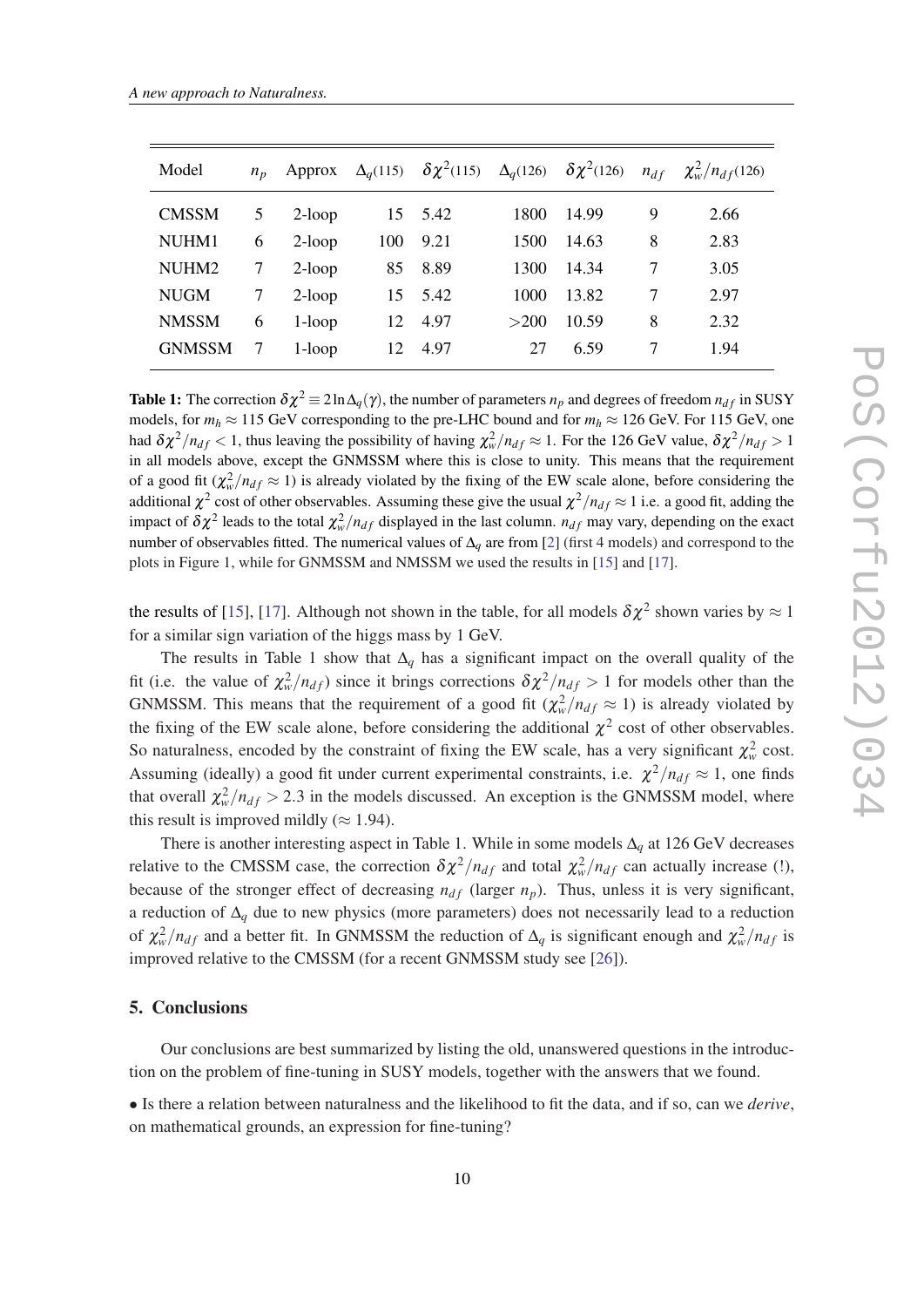| Model         | $n_{n}$ |           |     | Approx $\Delta_q(115)$ $\delta \chi^2(115)$ $\Delta_q(126)$ $\delta \chi^2(126)$ $n_{df}$ |      |       |        | $\chi^2_{w}/n_{df}(126)$ |
|---------------|---------|-----------|-----|-------------------------------------------------------------------------------------------|------|-------|--------|--------------------------|
| <b>CMSSM</b>  | 5       | $2$ -loop |     | 15 5.42                                                                                   | 1800 | 14.99 | 9      | 2.66                     |
| NUHM1         | 6       | $2$ -loop | 100 | 9.21                                                                                      | 1500 | 14.63 | 8      | 2.83                     |
| NUHM2         | 7       | $2$ -loop | 85  | 8.89                                                                                      | 1300 | 14.34 | 7      | 3.05                     |
| <b>NUGM</b>   | 7       | $2$ -loop |     | 15 5.42                                                                                   | 1000 | 13.82 | $\tau$ | 2.97                     |
| <b>NMSSM</b>  | 6       | $1-loop$  | 12  | 4.97                                                                                      | >200 | 10.59 | 8      | 2.32                     |
| <b>GNMSSM</b> |         | $1-loop$  | 12  | 4.97                                                                                      | 27   | 6.59  | 7      | 1.94                     |

Table 1: The correction  $\delta \chi^2 = 2 \ln \Delta_q(\gamma)$ , the number of parameters  $n_p$  and degrees of freedom  $n_{df}$  in SUSY models, for  $m_h \approx 115$  GeV corresponding to the pre-LHC bound and for  $m_h \approx 126$  GeV. For 115 GeV, one had  $\delta \chi^2/n_{df} < 1$ , thus leaving the possibility of having  $\chi^2_w/n_{df} \approx 1$ . For the 126 GeV value,  $\delta \chi^2/n_{df} > 1$ in all models above, except the GNMSSM where this is close to unity. This means that the requirement of a good fit  $(\chi^2_w/n_{df} \approx 1)$  is already violated by the fixing of the EW scale alone, before considering the additional  $\chi^2$  cost of other observables. Assuming these give the usual  $\chi^2/n_{df} \approx 1$  i.e. a good fit, adding the impact of  $\delta \chi^2$  leads to the total  $\chi^2_w/n_{df}$  displayed in the last column.  $n_{df}$  may vary, depending on the exact number of observables fitted. The numerical values of ∆*<sup>q</sup>* are from [[2\]](#page-11-0) (first 4 models) and correspond to the plots in Figure 1, while for GNMSSM and NMSSM we used the results in [\[15](#page-13-0)] and [\[17](#page-13-0)].

the results of [\[15](#page-13-0)], [\[17](#page-13-0)]. Although not shown in the table, for all models  $\delta \chi^2$  shown varies by  $\approx 1$ for a similar sign variation of the higgs mass by 1 GeV.

The results in Table 1 show that  $\Delta_q$  has a significant impact on the overall quality of the fit (i.e. the value of  $\chi^2_w/n_{df}$ ) since it brings corrections  $\delta \chi^2/n_{df} > 1$  for models other than the GNMSSM. This means that the requirement of a good fit  $(\chi^2_w/n_{df} \approx 1)$  is already violated by the fixing of the EW scale alone, before considering the additional  $\chi^2$  cost of other observables. So naturalness, encoded by the constraint of fixing the EW scale, has a very significant  $\chi^2_w$  cost. Assuming (ideally) a good fit under current experimental constraints, i.e.  $\chi^2/n_{df} \approx 1$ , one finds that overall  $\chi^2_w/n_{df} > 2.3$  in the models discussed. An exception is the GNMSSM model, where this result is improved mildly ( $\approx$  1.94).

There is another interesting aspect in Table 1. While in some models ∆*<sup>q</sup>* at 126 GeV decreases relative to the CMSSM case, the correction  $\delta \chi^2 / n_{df}$  and total  $\chi^2_w / n_{df}$  can actually increase (!), because of the stronger effect of decreasing  $n_{df}$  (larger  $n_p$ ). Thus, unless it is very significant, a reduction of ∆*<sup>q</sup>* due to new physics (more parameters) does not necessarily lead to a reduction of  $\chi^2_w/n_{df}$  and a better fit. In GNMSSM the reduction of  $\Delta_q$  is significant enough and  $\chi^2_w/n_{df}$  is improved relative to the CMSSM (for a recent GNMSSM study see [\[26\]](#page-14-0)).

#### 5. Conclusions

Our conclusions are best summarized by listing the old, unanswered questions in the introduction on the problem of fine-tuning in SUSY models, together with the answers that we found.

• Is there a relation between naturalness and the likelihood to fit the data, and if so, can we *derive*, on mathematical grounds, an expression for fine-tuning?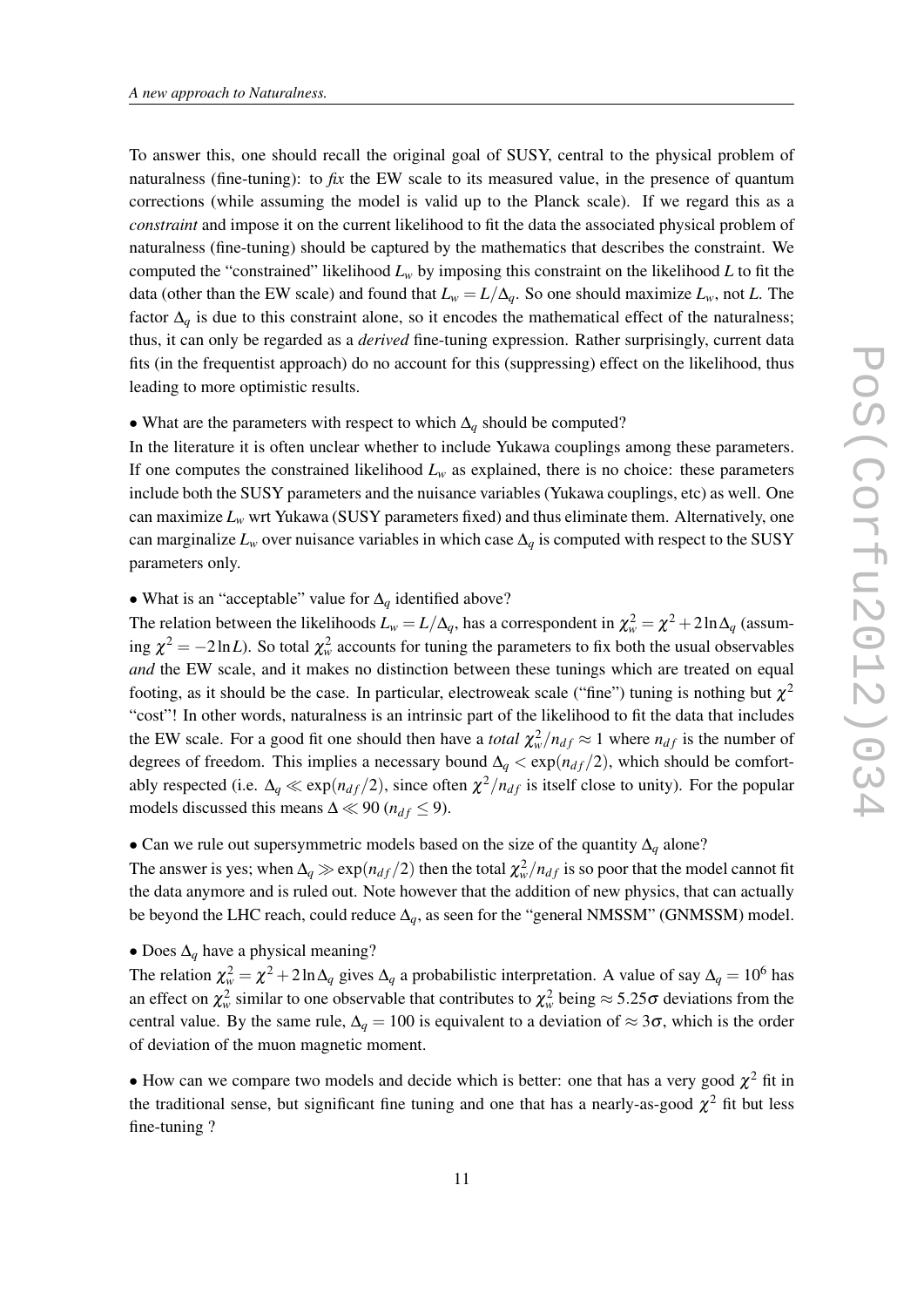To answer this, one should recall the original goal of SUSY, central to the physical problem of naturalness (fine-tuning): to *fix* the EW scale to its measured value, in the presence of quantum corrections (while assuming the model is valid up to the Planck scale). If we regard this as a *constraint* and impose it on the current likelihood to fit the data the associated physical problem of naturalness (fine-tuning) should be captured by the mathematics that describes the constraint. We computed the "constrained" likelihood  $L<sub>w</sub>$  by imposing this constraint on the likelihood  $L$  to fit the data (other than the EW scale) and found that  $L_w = L/\Delta_q$ . So one should maximize  $L_w$ , not *L*. The factor  $\Delta_q$  is due to this constraint alone, so it encodes the mathematical effect of the naturalness; thus, it can only be regarded as a *derived* fine-tuning expression. Rather surprisingly, current data fits (in the frequentist approach) do no account for this (suppressing) effect on the likelihood, thus leading to more optimistic results.

• What are the parameters with respect to which ∆*<sup>q</sup>* should be computed?

In the literature it is often unclear whether to include Yukawa couplings among these parameters. If one computes the constrained likelihood  $L<sub>w</sub>$  as explained, there is no choice: these parameters include both the SUSY parameters and the nuisance variables (Yukawa couplings, etc) as well. One can maximize  $L<sub>w</sub>$  wrt Yukawa (SUSY parameters fixed) and thus eliminate them. Alternatively, one can marginalize  $L_w$  over nuisance variables in which case  $\Delta_q$  is computed with respect to the SUSY parameters only.

• What is an "acceptable" value for ∆*<sup>q</sup>* identified above?

The relation between the likelihoods  $L_w = L/\Delta_q$ , has a correspondent in  $\chi^2_w = \chi^2 + 2\ln\Delta_q$  (assuming  $\chi^2 = -2 \ln L$ ). So total  $\chi^2_w$  accounts for tuning the parameters to fix both the usual observables *and* the EW scale, and it makes no distinction between these tunings which are treated on equal footing, as it should be the case. In particular, electroweak scale ("fine") tuning is nothing but  $\chi^2$ "cost"! In other words, naturalness is an intrinsic part of the likelihood to fit the data that includes the EW scale. For a good fit one should then have a *total*  $\chi^2_w/n_{df} \approx 1$  where  $n_{df}$  is the number of degrees of freedom. This implies a necessary bound  $\Delta_q < \exp(n_{df}/2)$ , which should be comfortably respected (i.e.  $\Delta_q \ll \exp(n_{df}/2)$ , since often  $\chi^2/n_{df}$  is itself close to unity). For the popular models discussed this means  $\Delta \ll 90$  ( $n_{df} \leq 9$ ).

#### • Can we rule out supersymmetric models based on the size of the quantity ∆*<sup>q</sup>* alone?

The answer is yes; when  $\Delta_q \gg \exp(n_{df}/2)$  then the total  $\chi^2_w/n_{df}$  is so poor that the model cannot fit the data anymore and is ruled out. Note however that the addition of new physics, that can actually be beyond the LHC reach, could reduce ∆*q*, as seen for the "general NMSSM" (GNMSSM) model.

• Does ∆*<sup>q</sup>* have a physical meaning?

The relation  $\chi^2_w = \chi^2 + 2\ln\Delta_q$  gives  $\Delta_q$  a probabilistic interpretation. A value of say  $\Delta_q = 10^6$  has an effect on  $\chi^2_w$  similar to one observable that contributes to  $\chi^2_w$  being  $\approx 5.25\sigma$  deviations from the central value. By the same rule,  $\Delta_q = 100$  is equivalent to a deviation of  $\approx 3\sigma$ , which is the order of deviation of the muon magnetic moment.

• How can we compare two models and decide which is better: one that has a very good  $\chi^2$  fit in the traditional sense, but significant fine tuning and one that has a nearly-as-good  $\chi^2$  fit but less fine-tuning ?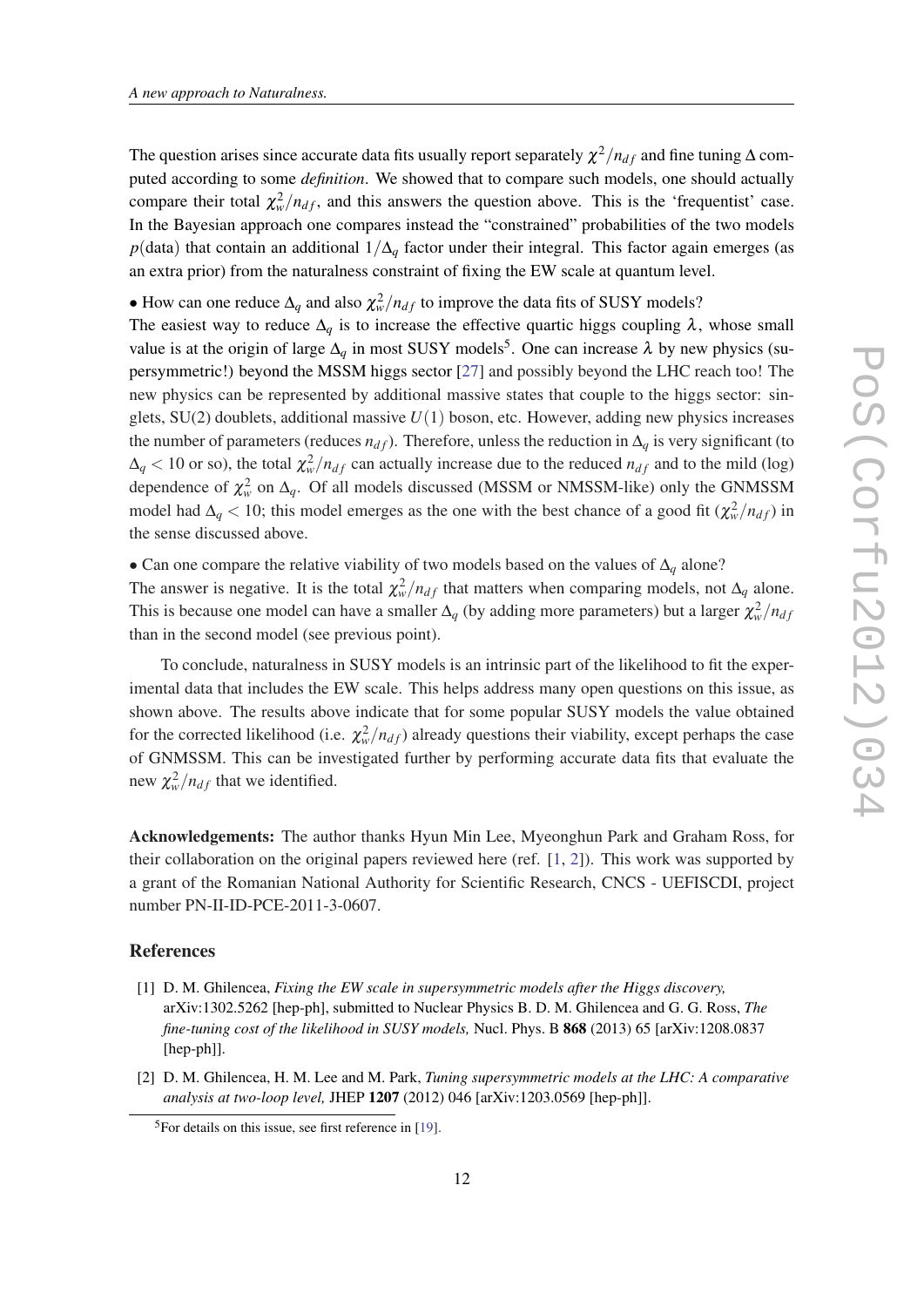<span id="page-11-0"></span>The question arises since accurate data fits usually report separately  $\chi^2/n_{df}$  and fine tuning  $\Delta$  computed according to some *definition*. We showed that to compare such models, one should actually compare their total  $\chi^2_w/n_{df}$ , and this answers the question above. This is the 'frequentist' case. In the Bayesian approach one compares instead the "constrained" probabilities of the two models *p*(data) that contain an additional 1/∆<sub>*q*</sub> factor under their integral. This factor again emerges (as an extra prior) from the naturalness constraint of fixing the EW scale at quantum level.

• How can one reduce  $\Delta_q$  and also  $\chi^2_w/n_{df}$  to improve the data fits of SUSY models?

The easiest way to reduce  $\Delta_q$  is to increase the effective quartic higgs coupling  $\lambda$ , whose small value is at the origin of large  $\Delta_q$  in most SUSY models<sup>5</sup>. One can increase  $\lambda$  by new physics (supersymmetric!) beyond the MSSM higgs sector [[27\]](#page-14-0) and possibly beyond the LHC reach too! The new physics can be represented by additional massive states that couple to the higgs sector: singlets, SU(2) doublets, additional massive *U*(1) boson, etc. However, adding new physics increases the number of parameters (reduces  $n_{df}$ ). Therefore, unless the reduction in  $\Delta_q$  is very significant (to  $\Delta_q$  < 10 or so), the total  $\chi^2_w/n_{df}$  can actually increase due to the reduced  $n_{df}$  and to the mild (log) dependence of  $\chi^2_w$  on  $\Delta_q$ . Of all models discussed (MSSM or NMSSM-like) only the GNMSSM model had  $\Delta_q$  < 10; this model emerges as the one with the best chance of a good fit  $(\chi^2_w/n_{df})$  in the sense discussed above.

• Can one compare the relative viability of two models based on the values of ∆*<sup>q</sup>* alone?

The answer is negative. It is the total  $\chi^2_w/n_{df}$  that matters when comparing models, not  $\Delta_q$  alone. This is because one model can have a smaller  $\Delta_q$  (by adding more parameters) but a larger  $\chi^2_w/n_{dj}$ than in the second model (see previous point).

To conclude, naturalness in SUSY models is an intrinsic part of the likelihood to fit the experimental data that includes the EW scale. This helps address many open questions on this issue, as shown above. The results above indicate that for some popular SUSY models the value obtained for the corrected likelihood (i.e.  $\chi^2_w/n_{df}$ ) already questions their viability, except perhaps the case of GNMSSM. This can be investigated further by performing accurate data fits that evaluate the new  $\chi^2_w/n_{df}$  that we identified.

Acknowledgements: The author thanks Hyun Min Lee, Myeonghun Park and Graham Ross, for their collaboration on the original papers reviewed here (ref. [1, 2]). This work was supported by a grant of the Romanian National Authority for Scientific Research, CNCS - UEFISCDI, project number PN-II-ID-PCE-2011-3-0607.

#### References

- [1] D. M. Ghilencea, *Fixing the EW scale in supersymmetric models after the Higgs discovery,* arXiv:1302.5262 [hep-ph], submitted to Nuclear Physics B. D. M. Ghilencea and G. G. Ross, *The fine-tuning cost of the likelihood in SUSY models, Nucl. Phys. B* 868 (2013) 65 [arXiv:1208.0837 [hep-ph]].
- [2] D. M. Ghilencea, H. M. Lee and M. Park, *Tuning supersymmetric models at the LHC: A comparative analysis at two-loop level,* JHEP 1207 (2012) 046 [arXiv:1203.0569 [hep-ph]].

 $5$ For details on this issue, see first reference in [\[19](#page-13-0)].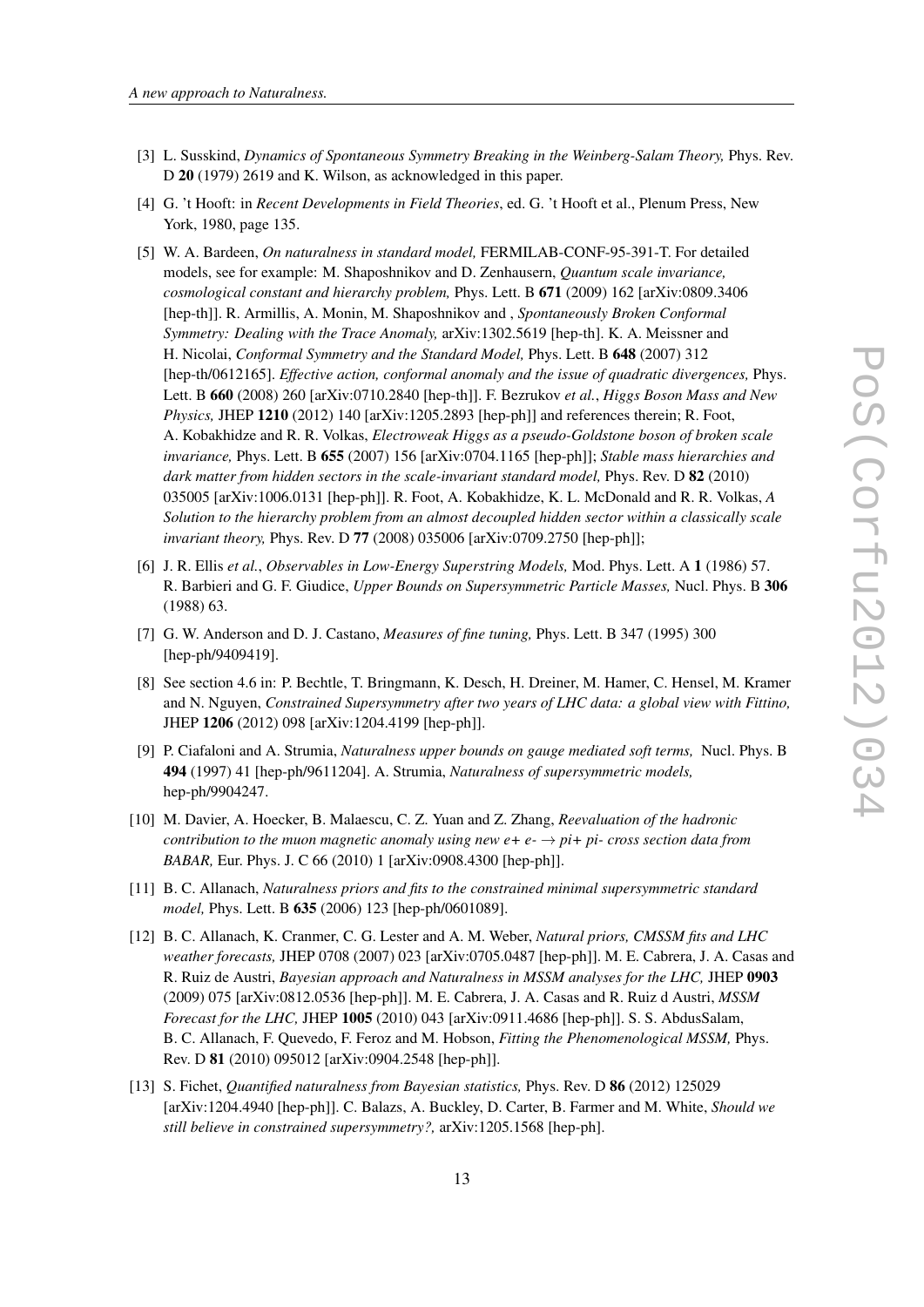- <span id="page-12-0"></span>[3] L. Susskind, *Dynamics of Spontaneous Symmetry Breaking in the Weinberg-Salam Theory,* Phys. Rev. D 20 (1979) 2619 and K. Wilson, as acknowledged in this paper.
- [4] G. 't Hooft: in *Recent Developments in Field Theories*, ed. G. 't Hooft et al., Plenum Press, New York, 1980, page 135.
- [5] W. A. Bardeen, *On naturalness in standard model,* FERMILAB-CONF-95-391-T. For detailed models, see for example: M. Shaposhnikov and D. Zenhausern, *Quantum scale invariance, cosmological constant and hierarchy problem,* Phys. Lett. B 671 (2009) 162 [arXiv:0809.3406 [hep-th]]. R. Armillis, A. Monin, M. Shaposhnikov and , *Spontaneously Broken Conformal Symmetry: Dealing with the Trace Anomaly,* arXiv:1302.5619 [hep-th]. K. A. Meissner and H. Nicolai, *Conformal Symmetry and the Standard Model,* Phys. Lett. B 648 (2007) 312 [hep-th/0612165]. *Effective action, conformal anomaly and the issue of quadratic divergences,* Phys. Lett. B 660 (2008) 260 [arXiv:0710.2840 [hep-th]]. F. Bezrukov *et al.*, *Higgs Boson Mass and New Physics,* JHEP 1210 (2012) 140 [arXiv:1205.2893 [hep-ph]] and references therein; R. Foot, A. Kobakhidze and R. R. Volkas, *Electroweak Higgs as a pseudo-Goldstone boson of broken scale invariance,* Phys. Lett. B 655 (2007) 156 [arXiv:0704.1165 [hep-ph]]; *Stable mass hierarchies and dark matter from hidden sectors in the scale-invariant standard model,* Phys. Rev. D 82 (2010) 035005 [arXiv:1006.0131 [hep-ph]]. R. Foot, A. Kobakhidze, K. L. McDonald and R. R. Volkas, *A Solution to the hierarchy problem from an almost decoupled hidden sector within a classically scale invariant theory,* Phys. Rev. D 77 (2008) 035006 [arXiv:0709.2750 [hep-ph]];
- [6] J. R. Ellis *et al.*, *Observables in Low-Energy Superstring Models,* Mod. Phys. Lett. A 1 (1986) 57. R. Barbieri and G. F. Giudice, *Upper Bounds on Supersymmetric Particle Masses,* Nucl. Phys. B 306 (1988) 63.
- [7] G. W. Anderson and D. J. Castano, *Measures of fine tuning,* Phys. Lett. B 347 (1995) 300 [hep-ph/9409419].
- [8] See section 4.6 in: P. Bechtle, T. Bringmann, K. Desch, H. Dreiner, M. Hamer, C. Hensel, M. Kramer and N. Nguyen, *Constrained Supersymmetry after two years of LHC data: a global view with Fittino,* JHEP 1206 (2012) 098 [arXiv:1204.4199 [hep-ph]].
- [9] P. Ciafaloni and A. Strumia, *Naturalness upper bounds on gauge mediated soft terms,* Nucl. Phys. B 494 (1997) 41 [hep-ph/9611204]. A. Strumia, *Naturalness of supersymmetric models,* hep-ph/9904247.
- [10] M. Davier, A. Hoecker, B. Malaescu, C. Z. Yuan and Z. Zhang, *Reevaluation of the hadronic contribution to the muon magnetic anomaly using new*  $e + e \rightarrow \pi + p$  *i+ pi- cross section data from BABAR,* Eur. Phys. J. C 66 (2010) 1 [arXiv:0908.4300 [hep-ph]].
- [11] B. C. Allanach, *Naturalness priors and fits to the constrained minimal supersymmetric standard model,* Phys. Lett. B 635 (2006) 123 [hep-ph/0601089].
- [12] B. C. Allanach, K. Cranmer, C. G. Lester and A. M. Weber, *Natural priors, CMSSM fits and LHC weather forecasts,* JHEP 0708 (2007) 023 [arXiv:0705.0487 [hep-ph]]. M. E. Cabrera, J. A. Casas and R. Ruiz de Austri, *Bayesian approach and Naturalness in MSSM analyses for the LHC,* JHEP 0903 (2009) 075 [arXiv:0812.0536 [hep-ph]]. M. E. Cabrera, J. A. Casas and R. Ruiz d Austri, *MSSM Forecast for the LHC,* JHEP 1005 (2010) 043 [arXiv:0911.4686 [hep-ph]]. S. S. AbdusSalam, B. C. Allanach, F. Quevedo, F. Feroz and M. Hobson, *Fitting the Phenomenological MSSM,* Phys. Rev. D 81 (2010) 095012 [arXiv:0904.2548 [hep-ph]].
- [13] S. Fichet, *Quantified naturalness from Bayesian statistics,* Phys. Rev. D 86 (2012) 125029 [arXiv:1204.4940 [hep-ph]]. C. Balazs, A. Buckley, D. Carter, B. Farmer and M. White, *Should we still believe in constrained supersymmetry?,* arXiv:1205.1568 [hep-ph].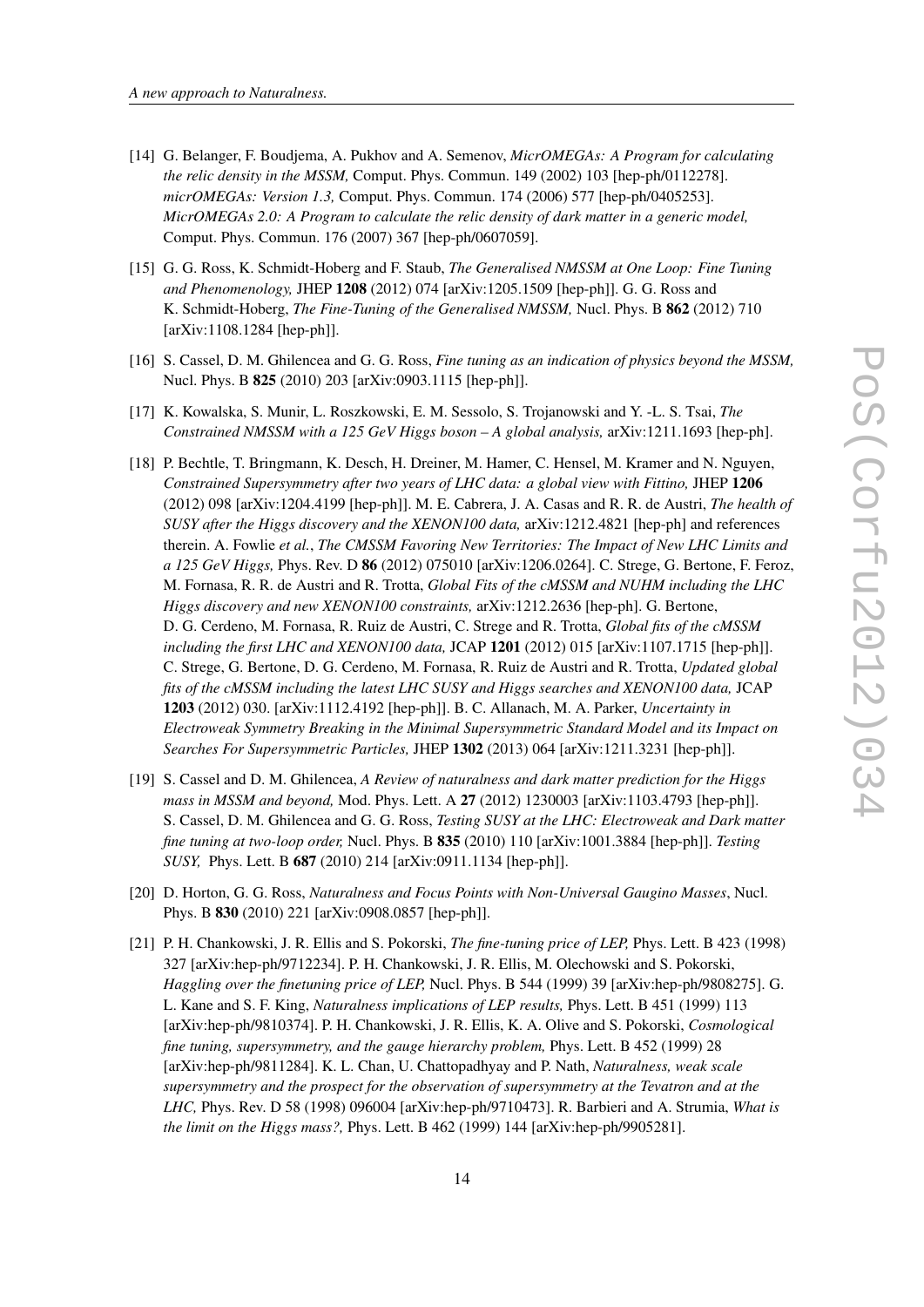- <span id="page-13-0"></span>[14] G. Belanger, F. Boudjema, A. Pukhov and A. Semenov, *MicrOMEGAs: A Program for calculating the relic density in the MSSM,* Comput. Phys. Commun. 149 (2002) 103 [hep-ph/0112278]. *micrOMEGAs: Version 1.3,* Comput. Phys. Commun. 174 (2006) 577 [hep-ph/0405253]. *MicrOMEGAs 2.0: A Program to calculate the relic density of dark matter in a generic model,* Comput. Phys. Commun. 176 (2007) 367 [hep-ph/0607059].
- [15] G. G. Ross, K. Schmidt-Hoberg and F. Staub, *The Generalised NMSSM at One Loop: Fine Tuning and Phenomenology,* JHEP 1208 (2012) 074 [arXiv:1205.1509 [hep-ph]]. G. G. Ross and K. Schmidt-Hoberg, *The Fine-Tuning of the Generalised NMSSM,* Nucl. Phys. B 862 (2012) 710 [arXiv:1108.1284 [hep-ph]].
- [16] S. Cassel, D. M. Ghilencea and G. G. Ross, *Fine tuning as an indication of physics beyond the MSSM,* Nucl. Phys. B 825 (2010) 203 [arXiv:0903.1115 [hep-ph]].
- [17] K. Kowalska, S. Munir, L. Roszkowski, E. M. Sessolo, S. Trojanowski and Y. -L. S. Tsai, *The Constrained NMSSM with a 125 GeV Higgs boson – A global analysis,* arXiv:1211.1693 [hep-ph].
- [18] P. Bechtle, T. Bringmann, K. Desch, H. Dreiner, M. Hamer, C. Hensel, M. Kramer and N. Nguyen, *Constrained Supersymmetry after two years of LHC data: a global view with Fittino,* JHEP 1206 (2012) 098 [arXiv:1204.4199 [hep-ph]]. M. E. Cabrera, J. A. Casas and R. R. de Austri, *The health of SUSY after the Higgs discovery and the XENON100 data,* arXiv:1212.4821 [hep-ph] and references therein. A. Fowlie *et al.*, *The CMSSM Favoring New Territories: The Impact of New LHC Limits and a 125 GeV Higgs,* Phys. Rev. D 86 (2012) 075010 [arXiv:1206.0264]. C. Strege, G. Bertone, F. Feroz, M. Fornasa, R. R. de Austri and R. Trotta, *Global Fits of the cMSSM and NUHM including the LHC Higgs discovery and new XENON100 constraints,* arXiv:1212.2636 [hep-ph]. G. Bertone, D. G. Cerdeno, M. Fornasa, R. Ruiz de Austri, C. Strege and R. Trotta, *Global fits of the cMSSM including the first LHC and XENON100 data,* JCAP 1201 (2012) 015 [arXiv:1107.1715 [hep-ph]]. C. Strege, G. Bertone, D. G. Cerdeno, M. Fornasa, R. Ruiz de Austri and R. Trotta, *Updated global fits of the cMSSM including the latest LHC SUSY and Higgs searches and XENON100 data,* JCAP 1203 (2012) 030. [arXiv:1112.4192 [hep-ph]]. B. C. Allanach, M. A. Parker, *Uncertainty in Electroweak Symmetry Breaking in the Minimal Supersymmetric Standard Model and its Impact on Searches For Supersymmetric Particles,* JHEP 1302 (2013) 064 [arXiv:1211.3231 [hep-ph]].
- [19] S. Cassel and D. M. Ghilencea, *A Review of naturalness and dark matter prediction for the Higgs mass in MSSM and beyond,* Mod. Phys. Lett. A 27 (2012) 1230003 [arXiv:1103.4793 [hep-ph]]. S. Cassel, D. M. Ghilencea and G. G. Ross, *Testing SUSY at the LHC: Electroweak and Dark matter fine tuning at two-loop order,* Nucl. Phys. B 835 (2010) 110 [arXiv:1001.3884 [hep-ph]]. *Testing SUSY,* Phys. Lett. B 687 (2010) 214 [arXiv:0911.1134 [hep-ph]].
- [20] D. Horton, G. G. Ross, *Naturalness and Focus Points with Non-Universal Gaugino Masses*, Nucl. Phys. B 830 (2010) 221 [arXiv:0908.0857 [hep-ph]].
- [21] P. H. Chankowski, J. R. Ellis and S. Pokorski, *The fine-tuning price of LEP,* Phys. Lett. B 423 (1998) 327 [arXiv:hep-ph/9712234]. P. H. Chankowski, J. R. Ellis, M. Olechowski and S. Pokorski, *Haggling over the finetuning price of LEP,* Nucl. Phys. B 544 (1999) 39 [arXiv:hep-ph/9808275]. G. L. Kane and S. F. King, *Naturalness implications of LEP results,* Phys. Lett. B 451 (1999) 113 [arXiv:hep-ph/9810374]. P. H. Chankowski, J. R. Ellis, K. A. Olive and S. Pokorski, *Cosmological fine tuning, supersymmetry, and the gauge hierarchy problem,* Phys. Lett. B 452 (1999) 28 [arXiv:hep-ph/9811284]. K. L. Chan, U. Chattopadhyay and P. Nath, *Naturalness, weak scale supersymmetry and the prospect for the observation of supersymmetry at the Tevatron and at the LHC,* Phys. Rev. D 58 (1998) 096004 [arXiv:hep-ph/9710473]. R. Barbieri and A. Strumia, *What is the limit on the Higgs mass?,* Phys. Lett. B 462 (1999) 144 [arXiv:hep-ph/9905281].